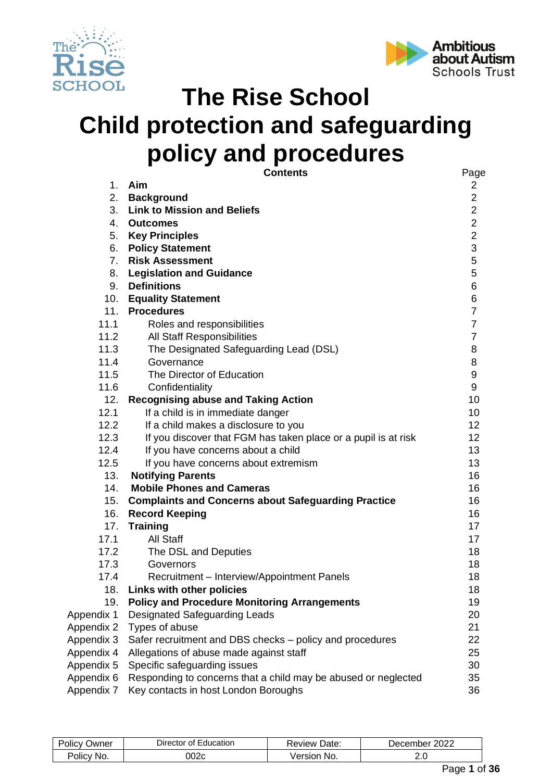



# **The Rise School Child protection and safeguarding policy and procedures**

|            | <b>Contents</b>                                                | Page             |
|------------|----------------------------------------------------------------|------------------|
| 1.         | Aim                                                            | $\overline{2}$   |
| 2.         | <b>Background</b>                                              | $\overline{2}$   |
|            | 3. Link to Mission and Beliefs                                 | $\overline{2}$   |
|            | 4. Outcomes                                                    | $\overline{2}$   |
|            | 5. Key Principles                                              | $\overline{2}$   |
|            | 6. Policy Statement                                            | 3                |
|            | 7. Risk Assessment                                             | $\mathbf 5$      |
|            | 8. Legislation and Guidance                                    | 5                |
|            | 9. Definitions                                                 | 6                |
|            | 10. Equality Statement                                         | 6                |
|            | 11. Procedures                                                 | $\overline{7}$   |
| 11.1       | Roles and responsibilities                                     | $\overline{7}$   |
| 11.2       | <b>All Staff Responsibilities</b>                              | $\overline{7}$   |
| 11.3       | The Designated Safeguarding Lead (DSL)                         | 8                |
| 11.4       | Governance                                                     | 8                |
| 11.5       | The Director of Education                                      | $\boldsymbol{9}$ |
| 11.6       | Confidentiality                                                | 9                |
| 12.        | <b>Recognising abuse and Taking Action</b>                     | 10               |
| 12.1       | If a child is in immediate danger                              | 10               |
| 12.2       | If a child makes a disclosure to you                           | 12 <sub>2</sub>  |
| 12.3       | If you discover that FGM has taken place or a pupil is at risk | 12 <sub>2</sub>  |
| 12.4       | If you have concerns about a child                             | 13               |
| 12.5       | If you have concerns about extremism                           | 13               |
| 13.        | <b>Notifying Parents</b>                                       | 16               |
| 14.        | <b>Mobile Phones and Cameras</b>                               | 16               |
| 15.        | <b>Complaints and Concerns about Safeguarding Practice</b>     | 16               |
| 16.        | <b>Record Keeping</b>                                          | 16               |
| 17.        | <b>Training</b>                                                | 17               |
| 17.1       | All Staff                                                      | 17               |
| 17.2       | The DSL and Deputies                                           | 18               |
| 17.3       | Governors                                                      | 18               |
| 17.4       | Recruitment - Interview/Appointment Panels                     | 18               |
| 18.        | Links with other policies                                      | 18               |
| 19.        | <b>Policy and Procedure Monitoring Arrangements</b>            | 19               |
| Appendix 1 | <b>Designated Safeguarding Leads</b>                           | 20               |
| Appendix 2 | Types of abuse                                                 | 21               |
| Appendix 3 | Safer recruitment and DBS checks – policy and procedures       | 22               |
| Appendix 4 | Allegations of abuse made against staff                        | 25               |
| Appendix 5 | Specific safeguarding issues                                   | 30               |
| Appendix 6 | Responding to concerns that a child may be abused or neglected | 35               |
| Appendix 7 | Key contacts in host London Boroughs                           | 36               |

| $\sim$<br>Jwner<br>วแเ   | -ducation<br>$\sim$<br>)ıre<br>ector | -<br>Jate:<br>AVIAW | റററ<br>، م(<br>albe.<br>æ |
|--------------------------|--------------------------------------|---------------------|---------------------------|
| No.<br>olic <sup>,</sup> | ງ02c                                 | NO.                 | <u>.</u><br>__            |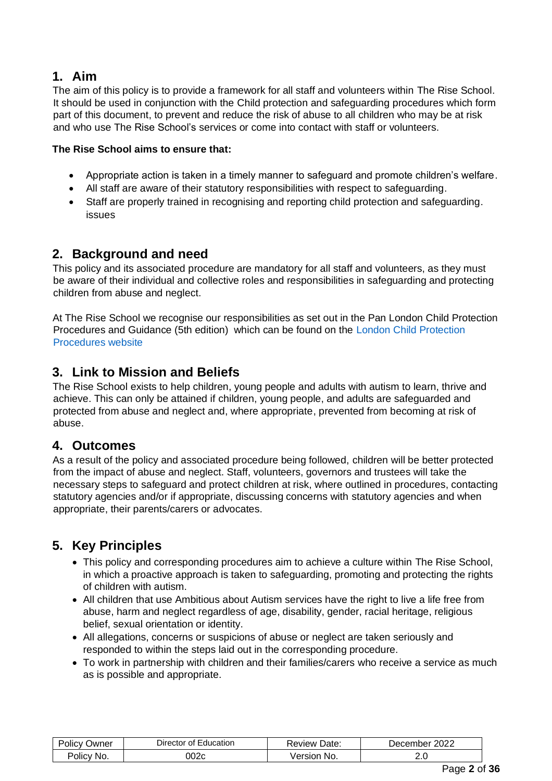# **1. Aim**

The aim of this policy is to provide a framework for all staff and volunteers within The Rise School. It should be used in conjunction with the Child protection and safeguarding procedures which form part of this document, to prevent and reduce the risk of abuse to all children who may be at risk and who use The Rise School's services or come into contact with staff or volunteers.

# **The Rise School aims to ensure that:**

- Appropriate action is taken in a timely manner to safeguard and promote children's welfare.
- All staff are aware of their statutory responsibilities with respect to safeguarding.
- Staff are properly trained in recognising and reporting child protection and safeguarding. issues

# **2. Background and need**

This policy and its associated procedure are mandatory for all staff and volunteers, as they must be aware of their individual and collective roles and responsibilities in safeguarding and protecting children from abuse and neglect.

At The Rise School we recognise our responsibilities as set out in the Pan London Child Protection Procedures and Guidance (5th edition) which can be found on th[e](http://www.londoncp.co.uk/) [London Child Protection](http://www.londoncp.co.uk/)  [Procedures website](http://www.londoncp.co.uk/)

# **3. Link to Mission and Beliefs**

The Rise School exists to help children, young people and adults with autism to learn, thrive and achieve. This can only be attained if children, young people, and adults are safeguarded and protected from abuse and neglect and, where appropriate, prevented from becoming at risk of abuse.

# **4. Outcomes**

As a result of the policy and associated procedure being followed, children will be better protected from the impact of abuse and neglect. Staff, volunteers, governors and trustees will take the necessary steps to safeguard and protect children at risk, where outlined in procedures, contacting statutory agencies and/or if appropriate, discussing concerns with statutory agencies and when appropriate, their parents/carers or advocates.

# **5. Key Principles**

- This policy and corresponding procedures aim to achieve a culture within The Rise School, in which a proactive approach is taken to safeguarding, promoting and protecting the rights of children with autism.
- All children that use Ambitious about Autism services have the right to live a life free from abuse, harm and neglect regardless of age, disability, gender, racial heritage, religious belief, sexual orientation or identity.
- All allegations, concerns or suspicions of abuse or neglect are taken seriously and responded to within the steps laid out in the corresponding procedure.
- To work in partnership with children and their families/carers who receive a service as much as is possible and appropriate.

| Jwner<br>Policy | <b>Director</b><br>nt.<br>Education | Date:<br>Review & | 2022<br>December |
|-----------------|-------------------------------------|-------------------|------------------|
| No.<br>olicy?   | 002c                                | No.<br>/ersion    | ے .              |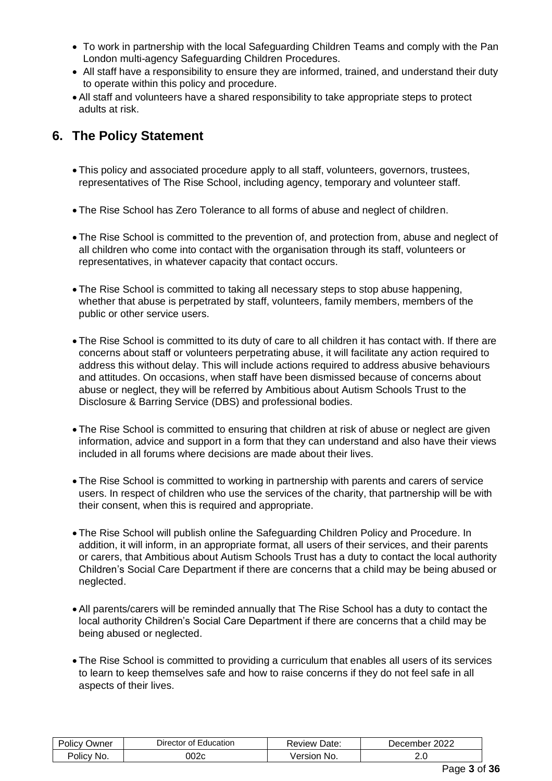- To work in partnership with the local Safeguarding Children Teams and comply with the Pan London multi-agency Safeguarding Children Procedures.
- All staff have a responsibility to ensure they are informed, trained, and understand their duty to operate within this policy and procedure.
- All staff and volunteers have a shared responsibility to take appropriate steps to protect adults at risk.

# **6. The Policy Statement**

- This policy and associated procedure apply to all staff, volunteers, governors, trustees, representatives of The Rise School, including agency, temporary and volunteer staff.
- The Rise School has Zero Tolerance to all forms of abuse and neglect of children.
- The Rise School is committed to the prevention of, and protection from, abuse and neglect of all children who come into contact with the organisation through its staff, volunteers or representatives, in whatever capacity that contact occurs.
- The Rise School is committed to taking all necessary steps to stop abuse happening, whether that abuse is perpetrated by staff, volunteers, family members, members of the public or other service users.
- The Rise School is committed to its duty of care to all children it has contact with. If there are concerns about staff or volunteers perpetrating abuse, it will facilitate any action required to address this without delay. This will include actions required to address abusive behaviours and attitudes. On occasions, when staff have been dismissed because of concerns about abuse or neglect, they will be referred by Ambitious about Autism Schools Trust to the Disclosure & Barring Service (DBS) and professional bodies.
- The Rise School is committed to ensuring that children at risk of abuse or neglect are given information, advice and support in a form that they can understand and also have their views included in all forums where decisions are made about their lives.
- The Rise School is committed to working in partnership with parents and carers of service users. In respect of children who use the services of the charity, that partnership will be with their consent, when this is required and appropriate.
- The Rise School will publish online the Safeguarding Children Policy and Procedure. In addition, it will inform, in an appropriate format, all users of their services, and their parents or carers, that Ambitious about Autism Schools Trust has a duty to contact the local authority Children's Social Care Department if there are concerns that a child may be being abused or neglected.
- All parents/carers will be reminded annually that The Rise School has a duty to contact the local authority Children's Social Care Department if there are concerns that a child may be being abused or neglected.
- The Rise School is committed to providing a curriculum that enables all users of its services to learn to keep themselves safe and how to raise concerns if they do not feel safe in all aspects of their lives.

| $\cdots$<br>-<br>⊃wner<br>20∥CV | Director<br>-ducation<br>OT. | Date:<br>Review     | റററ<br>December<br>2022 |
|---------------------------------|------------------------------|---------------------|-------------------------|
| No.<br>'Olicy                   | 002c                         | No.<br>ersion<br>51 | ے .                     |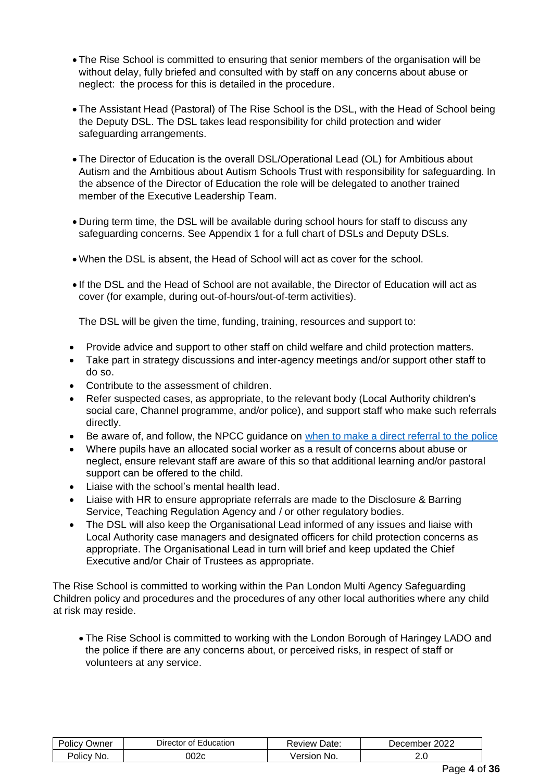- The Rise School is committed to ensuring that senior members of the organisation will be without delay, fully briefed and consulted with by staff on any concerns about abuse or neglect: the process for this is detailed in the procedure.
- The Assistant Head (Pastoral) of The Rise School is the DSL, with the Head of School being the Deputy DSL. The DSL takes lead responsibility for child protection and wider safeguarding arrangements.
- The Director of Education is the overall DSL/Operational Lead (OL) for Ambitious about Autism and the Ambitious about Autism Schools Trust with responsibility for safeguarding. In the absence of the Director of Education the role will be delegated to another trained member of the Executive Leadership Team.
- During term time, the DSL will be available during school hours for staff to discuss any safeguarding concerns. See Appendix 1 for a full chart of DSLs and Deputy DSLs.
- When the DSL is absent, the Head of School will act as cover for the school.
- If the DSL and the Head of School are not available, the Director of Education will act as cover (for example, during out-of-hours/out-of-term activities).

The DSL will be given the time, funding, training, resources and support to:

- Provide advice and support to other staff on child welfare and child protection matters.
- Take part in strategy discussions and inter-agency meetings and/or support other staff to do so.
- Contribute to the assessment of children.
- Refer suspected cases, as appropriate, to the relevant body (Local Authority children's social care, Channel programme, and/or police), and support staff who make such referrals directly.
- Be aware of, and follow, the NPCC guidance on [when to make a direct referral to the police](https://www.npcc.police.uk/documents/Children%20and%20Young%20people/When%20to%20call%20the%20police%20guidance%20for%20schools%20and%20colleges.pdf)
- Where pupils have an allocated social worker as a result of concerns about abuse or neglect, ensure relevant staff are aware of this so that additional learning and/or pastoral support can be offered to the child.
- Liaise with the school's mental health lead.
- Liaise with HR to ensure appropriate referrals are made to the Disclosure & Barring Service, Teaching Regulation Agency and / or other regulatory bodies.
- The DSL will also keep the Organisational Lead informed of any issues and liaise with Local Authority case managers and designated officers for child protection concerns as appropriate. The Organisational Lead in turn will brief and keep updated the Chief Executive and/or Chair of Trustees as appropriate.

The Rise School is committed to working within the Pan London Multi Agency Safeguarding Children policy and procedures and the procedures of any other local authorities where any child at risk may reside.

• The Rise School is committed to working with the London Borough of Haringey LADO and the police if there are any concerns about, or perceived risks, in respect of staff or volunteers at any service.

| ⊃wner         | Education     | Date:          | 2022     |
|---------------|---------------|----------------|----------|
| OIICV         | Director of ' | Review         | December |
| No.<br>Policy | 002c          | No.<br>'ersion | 2.J      |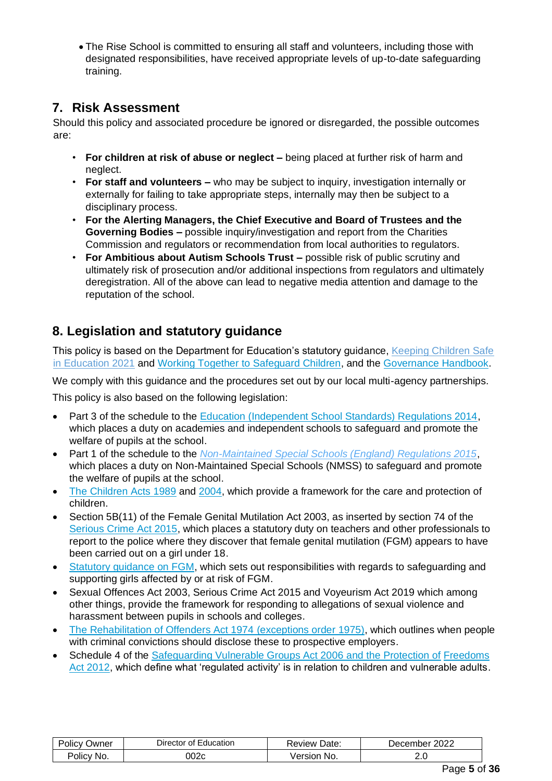• The Rise School is committed to ensuring all staff and volunteers, including those with designated responsibilities, have received appropriate levels of up-to-date safeguarding training.

# **7. Risk Assessment**

Should this policy and associated procedure be ignored or disregarded, the possible outcomes are:

- **For children at risk of abuse or neglect –** being placed at further risk of harm and neglect.
- **For staff and volunteers –** who may be subject to inquiry, investigation internally or externally for failing to take appropriate steps, internally may then be subject to a disciplinary process.
- **For the Alerting Managers, the Chief Executive and Board of Trustees and the Governing Bodies –** possible inquiry/investigation and report from the Charities Commission and regulators or recommendation from local authorities to regulators.
- **For Ambitious about Autism Schools Trust –** possible risk of public scrutiny and ultimately risk of prosecution and/or additional inspections from regulators and ultimately deregistration. All of the above can lead to negative media attention and damage to the reputation of the school.

# **8. Legislation and statutory guidance**

This policy is based on the Department for Education's statutory guidance, Keeping Children Safe [in Education 2021](https://assets.publishing.service.gov.uk/government/uploads/system/uploads/attachment_data/file/1007260/Keeping_children_safe_in_education_2021.pdf) and [Working Together to Safeguard Children,](https://www.gov.uk/government/publications/working-together-to-safeguard-children--2) and the [Governance Handbook.](https://www.gov.uk/government/publications/governance-handbook) 

We comply with this guidance and the procedures set out by our local multi-agency partnerships.

This policy is also based on the following legislation:

- Part 3 of the schedule to the Education (Independent School Standards) Regulations 2014. which places a duty on academies and independent schools to safeguard and promote the welfare of pupils at the school.
- Part 1 of the schedule to the *[Non-Maintained Special Schools \(England\) Regulations 2015](http://www.legislation.gov.uk/uksi/2015/728/schedule/made)*[,](http://www.legislation.gov.uk/uksi/2015/728/schedule/made) which places a duty on Non-Maintained Special Schools (NMSS) to safeguard and promote the welfare of pupils at the school.
- [The Children Acts](http://www.legislation.gov.uk/ukpga/1989/41) [1989](http://www.legislation.gov.uk/ukpga/1989/41) and 2004, which provide a framework for the care and protection of children.
- Section 5B(11) of the Female Genital Mutilation Act 2003, as inserted by section 74 of the [Serious Crime Act 2015,](http://www.legislation.gov.uk/ukpga/2015/9/part/5/crossheading/female-genital-mutilation) which places a statutory duty on teachers and other professionals to report to the police where they discover that female genital mutilation (FGM) appears to have been carried out on a girl under 18.
- [Statutory guidance on FGM,](https://www.gov.uk/government/publications/multi-agency-statutory-guidance-on-female-genital-mutilation) which sets out responsibilities with regards to safeguarding and supporting girls affected by or at risk of FGM.
- Sexual Offences Act 2003, Serious Crime Act 2015 and Voyeurism Act 2019 which among other things, provide the framework for responding to allegations of sexual violence and harassment between pupils in schools and colleges.
- [The Rehabilitation of Offenders Act 1974](http://www.legislation.gov.uk/ukpga/1974/53) (exceptions order 1975), which outlines when people with criminal convictions should disclose these to prospective employers.
- Schedule 4 of the [Safeguarding Vulnerable Groups Act 2006](http://www.legislation.gov.uk/ukpga/2006/47/schedule/4) and the Protection of Freedoms Act 2012, which define what 'regulated activity' is in relation to children and vulnerable adults.

| ⊃wner<br>יסוופי | Jirector<br>Education<br>ΩŤ | Date:<br>∴eview ' | 2022<br>Jecem<br>nbe: |
|-----------------|-----------------------------|-------------------|-----------------------|
| No.<br>OIIC'    | 002c                        | No.<br>ersion     | ے،ب                   |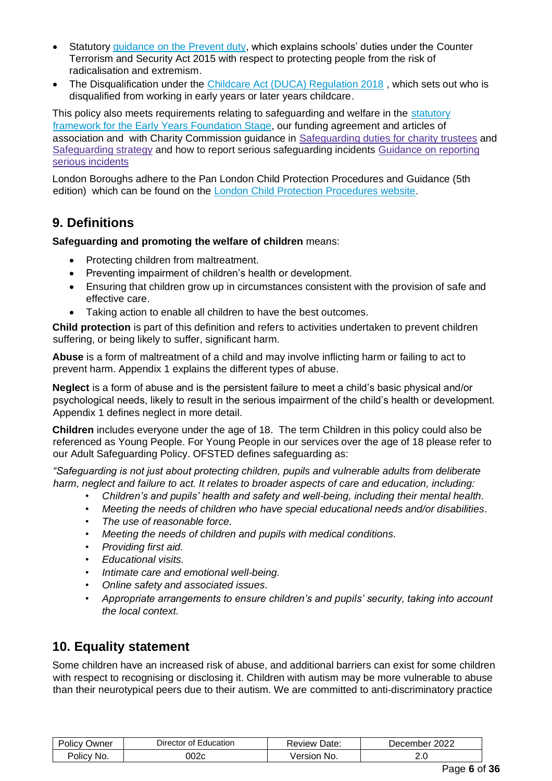- Statutory quidance [on the Prevent duty,](https://www.gov.uk/government/publications/prevent-duty-guidance) which explains schools' duties under the Counter Terrorism and Security Act 2015 with respect to protecting people from the risk of radicalisation and extremism.
- The Disqualification under the Childcare Act (DUCA) Regulation 2018, which sets out who is disqualified from working in early years or later years childcare.

This policy also meets requirements relating to safeguarding and welfare in the [statutory](https://www.gov.uk/government/publications/early-years-foundation-stage-framework--2) [framework for the Early Years Foundation Stage,](https://www.gov.uk/government/publications/early-years-foundation-stage-framework--2) our funding agreement and articles of association and with Charity Commission guidance in [Safeguarding](https://www.gov.uk/guidance/safeguarding-duties-for-charity-trustees) [duties](https://www.gov.uk/guidance/safeguarding-duties-for-charity-trustees) [for](https://www.gov.uk/guidance/safeguarding-duties-for-charity-trustees) [charity](https://www.gov.uk/guidance/safeguarding-duties-for-charity-trustees) [trustees](https://www.gov.uk/guidance/safeguarding-duties-for-charity-trustees) and [Safeguarding](https://www.gov.uk/government/publications/strategy-for-dealing-with-safeguarding-issues-in-charities) [strategy](https://www.gov.uk/government/publications/strategy-for-dealing-with-safeguarding-issues-in-charities) and how to report serious safeguarding incidents [Guidance](https://www.gov.uk/guidance/how-to-report-a-serious-incident-in-your-charity) [on](https://www.gov.uk/guidance/how-to-report-a-serious-incident-in-your-charity) [reporting](https://www.gov.uk/guidance/how-to-report-a-serious-incident-in-your-charity) [serious](https://www.gov.uk/guidance/how-to-report-a-serious-incident-in-your-charity) [incidents](https://www.gov.uk/guidance/how-to-report-a-serious-incident-in-your-charity)

London Boroughs adhere to the Pan London Child Protection Procedures and Guidance (5th edition) which can be found on th[e](http://www.londoncp.co.uk/) [London Child Protection Procedures website](http://www.londoncp.co.uk/).

# **9. Definitions**

### **Safeguarding and promoting the welfare of children** means:

- Protecting children from maltreatment.
- Preventing impairment of children's health or development.
- Ensuring that children grow up in circumstances consistent with the provision of safe and effective care.
- Taking action to enable all children to have the best outcomes.

**Child protection** is part of this definition and refers to activities undertaken to prevent children suffering, or being likely to suffer, significant harm.

**Abuse** is a form of maltreatment of a child and may involve inflicting harm or failing to act to prevent harm. Appendix 1 explains the different types of abuse.

**Neglect** is a form of abuse and is the persistent failure to meet a child's basic physical and/or psychological needs, likely to result in the serious impairment of the child's health or development. Appendix 1 defines neglect in more detail.

**Children** includes everyone under the age of 18. The term Children in this policy could also be referenced as Young People. For Young People in our services over the age of 18 please refer to our Adult Safeguarding Policy. OFSTED defines safeguarding as:

*"Safeguarding is not just about protecting children, pupils and vulnerable adults from deliberate harm, neglect and failure to act. It relates to broader aspects of care and education, including:* 

- *Children's and pupils' health and safety and well-being, including their mental health.*
- *Meeting the needs of children who have special educational needs and/or disabilities.*
- *The use of reasonable force.*
- *Meeting the needs of children and pupils with medical conditions.*
- *Providing first aid.*
- *Educational visits.*
- *Intimate care and emotional well-being.*
- *Online safety and associated issues.*
- *Appropriate arrangements to ensure children's and pupils' security, taking into account the local context.*

# **10. Equality statement**

Some children have an increased risk of abuse, and additional barriers can exist for some children with respect to recognising or disclosing it. Children with autism may be more vulnerable to abuse than their neurotypical peers due to their autism. We are committed to anti-discriminatory practice

| Jwner<br>Olic\ | Education<br>⊃irector<br>Οt | Date:<br>Review : | 2022<br>December |
|----------------|-----------------------------|-------------------|------------------|
| Policy         | 002c                        | /ersior           | ے . ب            |
| No.            |                             | No.               |                  |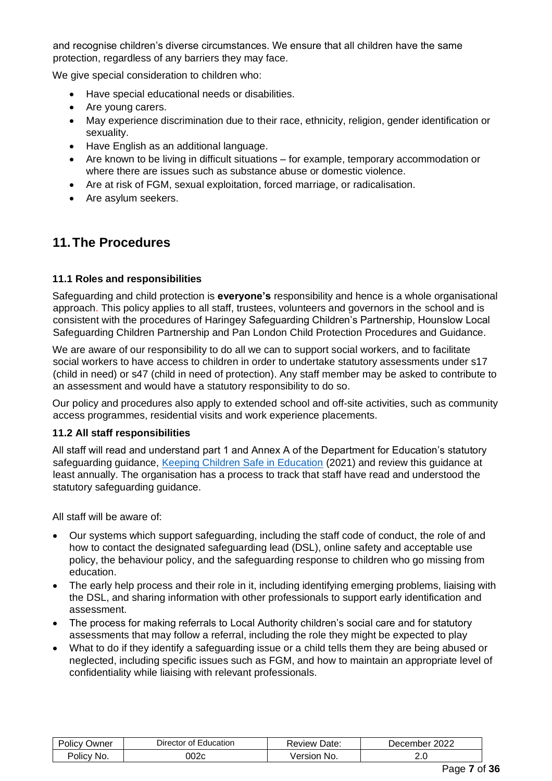and recognise children's diverse circumstances. We ensure that all children have the same protection, regardless of any barriers they may face.

We give special consideration to children who:

- Have special educational needs or disabilities.
- Are young carers.
- May experience discrimination due to their race, ethnicity, religion, gender identification or sexuality.
- Have English as an additional language.
- Are known to be living in difficult situations for example, temporary accommodation or where there are issues such as substance abuse or domestic violence.
- Are at risk of FGM, sexual exploitation, forced marriage, or radicalisation.
- Are asylum seekers.

# **11.The Procedures**

### **11.1 Roles and responsibilities**

Safeguarding and child protection is **everyone's** responsibility and hence is a whole organisational approach. This policy applies to all staff, trustees, volunteers and governors in the school and is consistent with the procedures of Haringey Safeguarding Children's Partnership, Hounslow Local Safeguarding Children Partnership and Pan London Child Protection Procedures and Guidance.

We are aware of our responsibility to do all we can to support social workers, and to facilitate social workers to have access to children in order to undertake statutory assessments under s17 (child in need) or s47 (child in need of protection). Any staff member may be asked to contribute to an assessment and would have a statutory responsibility to do so.

Our policy and procedures also apply to extended school and off-site activities, such as community access programmes, residential visits and work experience placements.

### **11.2 All staff responsibilities**

All staff will read and understand part 1 and Annex A of the Department for Education's statutory safeguarding guidance, [Keeping Children Safe in Education](https://www.gov.uk/government/publications/keeping-children-safe-in-education--2) (2021) and review this guidance at least annually. The organisation has a process to track that staff have read and understood the statutory safeguarding guidance.

All staff will be aware of:

- Our systems which support safeguarding, including the staff code of conduct, the role of and how to contact the designated safeguarding lead (DSL), online safety and acceptable use policy, the behaviour policy, and the safeguarding response to children who go missing from education.
- The early help process and their role in it, including identifying emerging problems, liaising with the DSL, and sharing information with other professionals to support early identification and assessment.
- The process for making referrals to Local Authority children's social care and for statutory assessments that may follow a referral, including the role they might be expected to play
- What to do if they identify a safeguarding issue or a child tells them they are being abused or neglected, including specific issues such as FGM, and how to maintain an appropriate level of confidentiality while liaising with relevant professionals.

| ⊃wner<br>JIICV | Education<br>nt.<br>. Jirer<br>тог | Date:<br>kevlew | 2022<br>ember.<br>، ۱۵ |
|----------------|------------------------------------|-----------------|------------------------|
| NO.<br>Olic'   | 002c                               | -No.<br>'SION   | <u>. . v</u>           |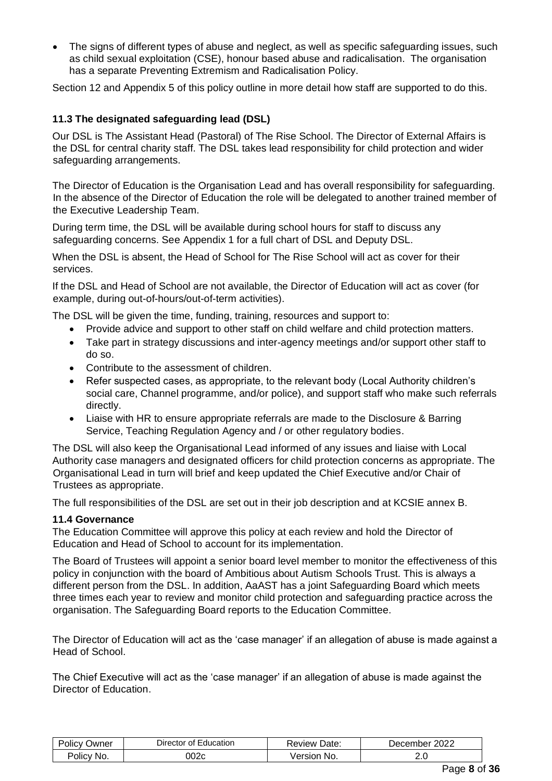• The signs of different types of abuse and neglect, as well as specific safeguarding issues, such as child sexual exploitation (CSE), honour based abuse and radicalisation. The organisation has a separate Preventing Extremism and Radicalisation Policy.

Section 12 and Appendix 5 of this policy outline in more detail how staff are supported to do this.

### **11.3 The designated safeguarding lead (DSL)**

Our DSL is The Assistant Head (Pastoral) of The Rise School. The Director of External Affairs is the DSL for central charity staff. The DSL takes lead responsibility for child protection and wider safeguarding arrangements.

The Director of Education is the Organisation Lead and has overall responsibility for safeguarding. In the absence of the Director of Education the role will be delegated to another trained member of the Executive Leadership Team.

During term time, the DSL will be available during school hours for staff to discuss any safeguarding concerns. See Appendix 1 for a full chart of DSL and Deputy DSL.

When the DSL is absent, the Head of School for The Rise School will act as cover for their services.

If the DSL and Head of School are not available, the Director of Education will act as cover (for example, during out-of-hours/out-of-term activities).

The DSL will be given the time, funding, training, resources and support to:

- Provide advice and support to other staff on child welfare and child protection matters.
- Take part in strategy discussions and inter-agency meetings and/or support other staff to do so.
- Contribute to the assessment of children.
- Refer suspected cases, as appropriate, to the relevant body (Local Authority children's social care, Channel programme, and/or police), and support staff who make such referrals directly.
- Liaise with HR to ensure appropriate referrals are made to the Disclosure & Barring Service, Teaching Regulation Agency and / or other regulatory bodies.

The DSL will also keep the Organisational Lead informed of any issues and liaise with Local Authority case managers and designated officers for child protection concerns as appropriate. The Organisational Lead in turn will brief and keep updated the Chief Executive and/or Chair of Trustees as appropriate.

The full responsibilities of the DSL are set out in their job description and at KCSIE annex B.

### **11.4 Governance**

The Education Committee will approve this policy at each review and hold the Director of Education and Head of School to account for its implementation.

The Board of Trustees will appoint a senior board level member to monitor the effectiveness of this policy in conjunction with the board of Ambitious about Autism Schools Trust. This is always a different person from the DSL. In addition, AaAST has a joint Safeguarding Board which meets three times each year to review and monitor child protection and safeguarding practice across the organisation. The Safeguarding Board reports to the Education Committee.

The Director of Education will act as the 'case manager' if an allegation of abuse is made against a Head of School.

The Chief Executive will act as the 'case manager' if an allegation of abuse is made against the Director of Education.

| שמעΩ<br>οιιαν | Education<br>Director<br>Οt | Date:<br>' evlew. | 2022<br>Jecember |
|---------------|-----------------------------|-------------------|------------------|
| No.           | 002c                        | 'ersion           | 2.v              |
| Olicy         |                             | No.               |                  |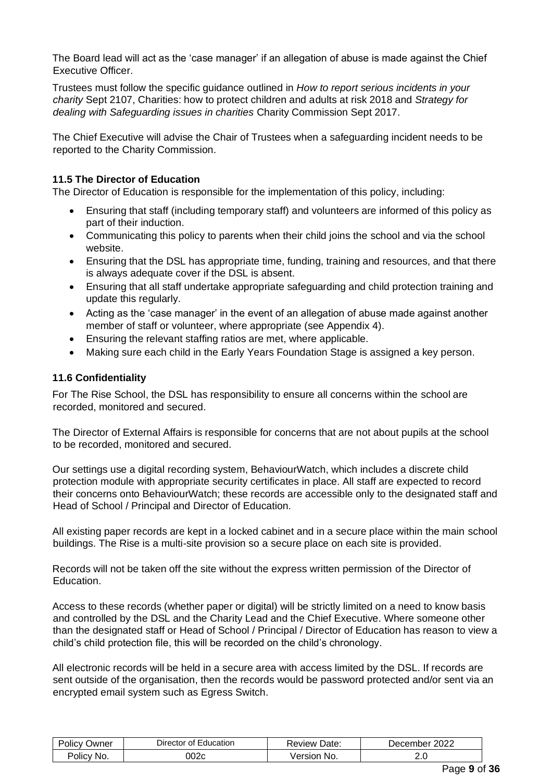The Board lead will act as the 'case manager' if an allegation of abuse is made against the Chief Executive Officer.

Trustees must follow the specific guidance outlined in *How to report serious incidents in your charity* Sept 2107, Charities: how to protect children and adults at risk 2018 and *[Strategy for](https://www.gov.uk/government/publications/strategy-for-dealing-with-safeguarding-issues-in-charities)  [dealing with Safeguarding issues in charities](https://www.gov.uk/government/publications/strategy-for-dealing-with-safeguarding-issues-in-charities)* [Charity](https://www.gov.uk/government/publications/strategy-for-dealing-with-safeguarding-issues-in-charities) [Commission](https://www.gov.uk/government/publications/strategy-for-dealing-with-safeguarding-issues-in-charities) Sept 2017.

The Chief Executive will advise the Chair of Trustees when a safeguarding incident needs to be reported to the Charity Commission.

### **11.5 The Director of Education**

The Director of Education is responsible for the implementation of this policy, including:

- Ensuring that staff (including temporary staff) and volunteers are informed of this policy as part of their induction.
- Communicating this policy to parents when their child joins the school and via the school website.
- Ensuring that the DSL has appropriate time, funding, training and resources, and that there is always adequate cover if the DSL is absent.
- Ensuring that all staff undertake appropriate safeguarding and child protection training and update this regularly.
- Acting as the 'case manager' in the event of an allegation of abuse made against another member of staff or volunteer, where appropriate (see Appendix 4).
- Ensuring the relevant staffing ratios are met, where applicable.
- Making sure each child in the Early Years Foundation Stage is assigned a key person.

### **11.6 Confidentiality**

For The Rise School, the DSL has responsibility to ensure all concerns within the school are recorded, monitored and secured.

The Director of External Affairs is responsible for concerns that are not about pupils at the school to be recorded, monitored and secured.

Our settings use a digital recording system, BehaviourWatch, which includes a discrete child protection module with appropriate security certificates in place. All staff are expected to record their concerns onto BehaviourWatch; these records are accessible only to the designated staff and Head of School / Principal and Director of Education.

All existing paper records are kept in a locked cabinet and in a secure place within the main school buildings. The Rise is a multi-site provision so a secure place on each site is provided.

Records will not be taken off the site without the express written permission of the Director of Education.

Access to these records (whether paper or digital) will be strictly limited on a need to know basis and controlled by the DSL and the Charity Lead and the Chief Executive. Where someone other than the designated staff or Head of School / Principal / Director of Education has reason to view a child's child protection file, this will be recorded on the child's chronology.

All electronic records will be held in a secure area with access limited by the DSL. If records are sent outside of the organisation, then the records would be password protected and/or sent via an encrypted email system such as Egress Switch.

| שwner<br>'OliC∖ | Education<br>ctor of<br>⊃irector | Date:<br>べeview | 2022<br>December |
|-----------------|----------------------------------|-----------------|------------------|
| No.<br>Olicy    | 002c                             | No.<br>Jersion  | <u>.</u> .       |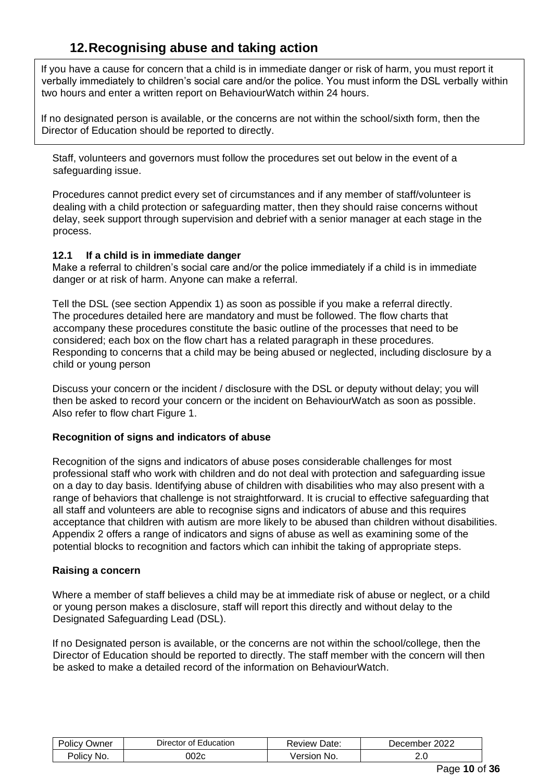# **12.Recognising abuse and taking action**

If you have a cause for concern that a child is in immediate danger or risk of harm, you must report it verbally immediately to children's social care and/or the police. You must inform the DSL verbally within two hours and enter a written report on BehaviourWatch within 24 hours.

If no designated person is available, or the concerns are not within the school/sixth form, then the Director of Education should be reported to directly.

Staff, volunteers and governors must follow the procedures set out below in the event of a safeguarding issue.

Procedures cannot predict every set of circumstances and if any member of staff/volunteer is dealing with a child protection or safeguarding matter, then they should raise concerns without delay, seek support through supervision and debrief with a senior manager at each stage in the process.

### **12.1 If a child is in immediate danger**

Make a referral to children's social care and/or the police immediately if a child is in immediate danger or at risk of harm. Anyone can make a referral.

Tell the DSL (see section Appendix 1) as soon as possible if you make a referral directly. The procedures detailed here are mandatory and must be followed. The flow charts that accompany these procedures constitute the basic outline of the processes that need to be considered; each box on the flow chart has a related paragraph in these procedures. Responding to concerns that a child may be being abused or neglected, including disclosure by a child or young person

Discuss your concern or the incident / disclosure with the DSL or deputy without delay; you will then be asked to record your concern or the incident on BehaviourWatch as soon as possible. Also refer to flow chart Figure 1.

### **Recognition of signs and indicators of abuse**

Recognition of the signs and indicators of abuse poses considerable challenges for most professional staff who work with children and do not deal with protection and safeguarding issue on a day to day basis. Identifying abuse of children with disabilities who may also present with a range of behaviors that challenge is not straightforward. It is crucial to effective safeguarding that all staff and volunteers are able to recognise signs and indicators of abuse and this requires acceptance that children with autism are more likely to be abused than children without disabilities. Appendix 2 offers a range of indicators and signs of abuse as well as examining some of the potential blocks to recognition and factors which can inhibit the taking of appropriate steps.

### **Raising a concern**

Where a member of staff believes a child may be at immediate risk of abuse or neglect, or a child or young person makes a disclosure, staff will report this directly and without delay to the Designated Safeguarding Lead (DSL).

If no Designated person is available, or the concerns are not within the school/college, then the Director of Education should be reported to directly. The staff member with the concern will then be asked to make a detailed record of the information on BehaviourWatch.

| .<br>∽<br>≌olicv<br>Owner | - -<br>Education<br>Director<br>0t | Date:<br>Review | 2022<br>December |
|---------------------------|------------------------------------|-----------------|------------------|
| 'olicy<br>No.             | 002c                               | No.<br>ersion   | ے .              |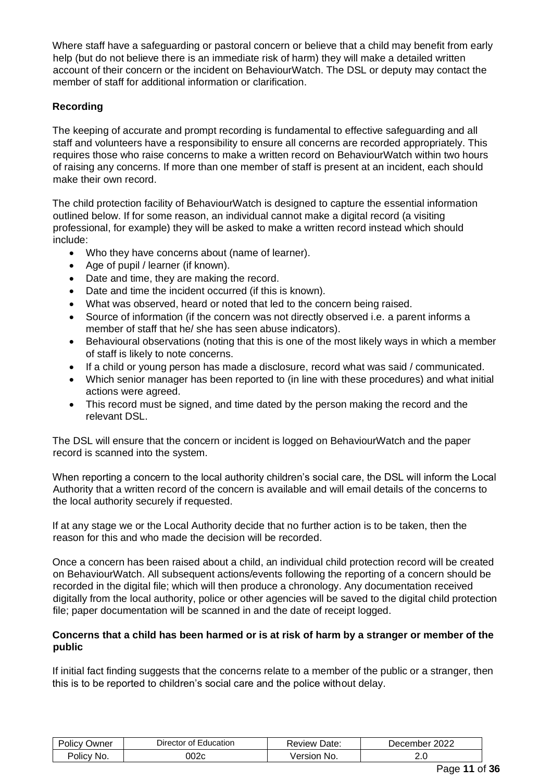Where staff have a safeguarding or pastoral concern or believe that a child may benefit from early help (but do not believe there is an immediate risk of harm) they will make a detailed written account of their concern or the incident on BehaviourWatch. The DSL or deputy may contact the member of staff for additional information or clarification.

### **Recording**

The keeping of accurate and prompt recording is fundamental to effective safeguarding and all staff and volunteers have a responsibility to ensure all concerns are recorded appropriately. This requires those who raise concerns to make a written record on BehaviourWatch within two hours of raising any concerns. If more than one member of staff is present at an incident, each should make their own record.

The child protection facility of BehaviourWatch is designed to capture the essential information outlined below. If for some reason, an individual cannot make a digital record (a visiting professional, for example) they will be asked to make a written record instead which should include:

- Who they have concerns about (name of learner).
- Age of pupil / learner (if known).
- Date and time, they are making the record.
- Date and time the incident occurred (if this is known).
- What was observed, heard or noted that led to the concern being raised.
- Source of information (if the concern was not directly observed i.e. a parent informs a member of staff that he/ she has seen abuse indicators).
- Behavioural observations (noting that this is one of the most likely ways in which a member of staff is likely to note concerns.
- If a child or young person has made a disclosure, record what was said / communicated.
- Which senior manager has been reported to (in line with these procedures) and what initial actions were agreed.
- This record must be signed, and time dated by the person making the record and the relevant DSL.

The DSL will ensure that the concern or incident is logged on BehaviourWatch and the paper record is scanned into the system.

When reporting a concern to the local authority children's social care, the DSL will inform the Local Authority that a written record of the concern is available and will email details of the concerns to the local authority securely if requested.

If at any stage we or the Local Authority decide that no further action is to be taken, then the reason for this and who made the decision will be recorded.

Once a concern has been raised about a child, an individual child protection record will be created on BehaviourWatch. All subsequent actions/events following the reporting of a concern should be recorded in the digital file; which will then produce a chronology. Any documentation received digitally from the local authority, police or other agencies will be saved to the digital child protection file; paper documentation will be scanned in and the date of receipt logged.

### **Concerns that a child has been harmed or is at risk of harm by a stranger or member of the public**

If initial fact finding suggests that the concerns relate to a member of the public or a stranger, then this is to be reported to children's social care and the police without delay.

| -<br>שwner<br><b>POLICY</b> | Education<br>Director of | Date:<br>∴eview. | 2022<br>December |
|-----------------------------|--------------------------|------------------|------------------|
| No.                         | 002c                     | 'ersion          | ے.ب              |
| <b>OIICV</b>                |                          | No.              |                  |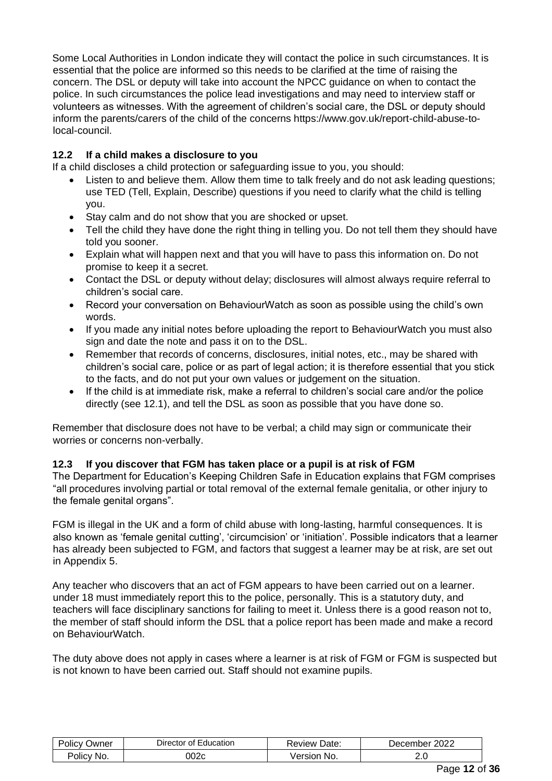Some Local Authorities in London indicate they will contact the police in such circumstances. It is essential that the police are informed so this needs to be clarified at the time of raising the concern. The DSL or deputy will take into account the NPCC guidance on when to contact the police. In such circumstances the police lead investigations and may need to interview staff or volunteers as witnesses. With the agreement of children's social care, the DSL or deputy should inform the parents/carers of the child of the concerns https://www.gov.uk/report-child-abuse-tolocal-council.

### **12.2 If a child makes a disclosure to you**

If a child discloses a child protection or safeguarding issue to you, you should:

- Listen to and believe them. Allow them time to talk freely and do not ask leading questions: use TED (Tell, Explain, Describe) questions if you need to clarify what the child is telling you.
- Stay calm and do not show that you are shocked or upset.
- Tell the child they have done the right thing in telling you. Do not tell them they should have told you sooner.
- Explain what will happen next and that you will have to pass this information on. Do not promise to keep it a secret.
- Contact the DSL or deputy without delay: disclosures will almost always require referral to children's social care.
- Record your conversation on BehaviourWatch as soon as possible using the child's own words.
- If you made any initial notes before uploading the report to BehaviourWatch you must also sign and date the note and pass it on to the DSL.
- Remember that records of concerns, disclosures, initial notes, etc., may be shared with children's social care, police or as part of legal action; it is therefore essential that you stick to the facts, and do not put your own values or judgement on the situation.
- If the child is at immediate risk, make a referral to children's social care and/or the police directly (see 12.1), and tell the DSL as soon as possible that you have done so.

Remember that disclosure does not have to be verbal; a child may sign or communicate their worries or concerns non-verbally.

# **12.3 If you discover that FGM has taken place or a pupil is at risk of FGM**

The Department for Education's Keeping Children Safe in Education explains that FGM comprises "all procedures involving partial or total removal of the external female genitalia, or other injury to the female genital organs".

FGM is illegal in the UK and a form of child abuse with long-lasting, harmful consequences. It is also known as 'female genital cutting', 'circumcision' or 'initiation'. Possible indicators that a learner has already been subjected to FGM, and factors that suggest a learner may be at risk, are set out in Appendix 5.

Any teacher who discovers that an act of FGM appears to have been carried out on a learner. under 18 must immediately report this to the police, personally. This is a statutory duty, and teachers will face disciplinary sanctions for failing to meet it. Unless there is a good reason not to, the member of staff should inform the DSL that a police report has been made and make a record on BehaviourWatch.

The duty above does not apply in cases where a learner is at risk of FGM or FGM is suspected but is not known to have been carried out. Staff should not examine pupils.

| . .<br>$\overline{\phantom{a}}$<br>Policy<br>Jwner | Education<br>Director of | Date:<br>Review       | 2022<br>December |
|----------------------------------------------------|--------------------------|-----------------------|------------------|
| Polic∨⊹<br>No.                                     | 002c                     | No.<br>ersion<br>vers | ے ۔              |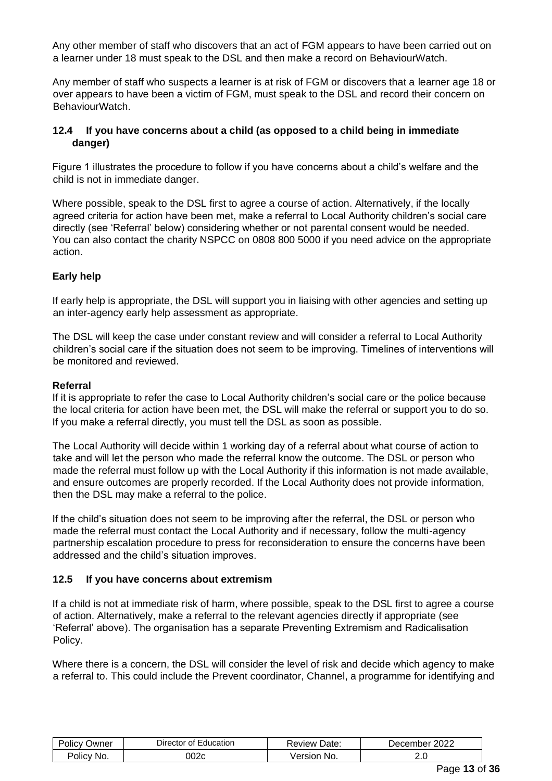Any other member of staff who discovers that an act of FGM appears to have been carried out on a learner under 18 must speak to the DSL and then make a record on BehaviourWatch.

Any member of staff who suspects a learner is at risk of FGM or discovers that a learner age 18 or over appears to have been a victim of FGM, must speak to the DSL and record their concern on BehaviourWatch.

#### **12.4 If you have concerns about a child (as opposed to a child being in immediate danger)**

Figure 1 illustrates the procedure to follow if you have concerns about a child's welfare and the child is not in immediate danger.

Where possible, speak to the DSL first to agree a course of action. Alternatively, if the locally agreed criteria for action have been met, make a referral to Local Authority children's social care directly (see 'Referral' below) considering whether or not parental consent would be needed. You can also contact the charity NSPCC on 0808 800 5000 if you need advice on the appropriate action.

# **Early help**

If early help is appropriate, the DSL will support you in liaising with other agencies and setting up an inter-agency early help assessment as appropriate.

The DSL will keep the case under constant review and will consider a referral to Local Authority children's social care if the situation does not seem to be improving. Timelines of interventions will be monitored and reviewed.

#### **Referral**

If it is appropriate to refer the case to Local Authority children's social care or the police because the local criteria for action have been met, the DSL will make the referral or support you to do so. If you make a referral directly, you must tell the DSL as soon as possible.

The Local Authority will decide within 1 working day of a referral about what course of action to take and will let the person who made the referral know the outcome. The DSL or person who made the referral must follow up with the Local Authority if this information is not made available, and ensure outcomes are properly recorded. If the Local Authority does not provide information, then the DSL may make a referral to the police.

If the child's situation does not seem to be improving after the referral, the DSL or person who made the referral must contact the Local Authority and if necessary, follow the multi-agency partnership escalation procedure to press for reconsideration to ensure the concerns have been addressed and the child's situation improves.

### **12.5 If you have concerns about extremism**

If a child is not at immediate risk of harm, where possible, speak to the DSL first to agree a course of action. Alternatively, make a referral to the relevant agencies directly if appropriate (see 'Referral' above). The organisation has a separate Preventing Extremism and Radicalisation Policy.

Where there is a concern, the DSL will consider the level of risk and decide which agency to make a referral to. This could include the Prevent coordinator, Channel, a programme for identifying and

| .<br>olic\<br>Jwner | -<br>-ducation<br><b>Director</b><br>∩t | Date:<br>⊀eview    | מממ<br>cember<br>$-0.002$<br>ZUZZ |
|---------------------|-----------------------------------------|--------------------|-----------------------------------|
| No.<br>Olic'        | )02<br>,,                               | No.<br>---<br>sıor | z.u                               |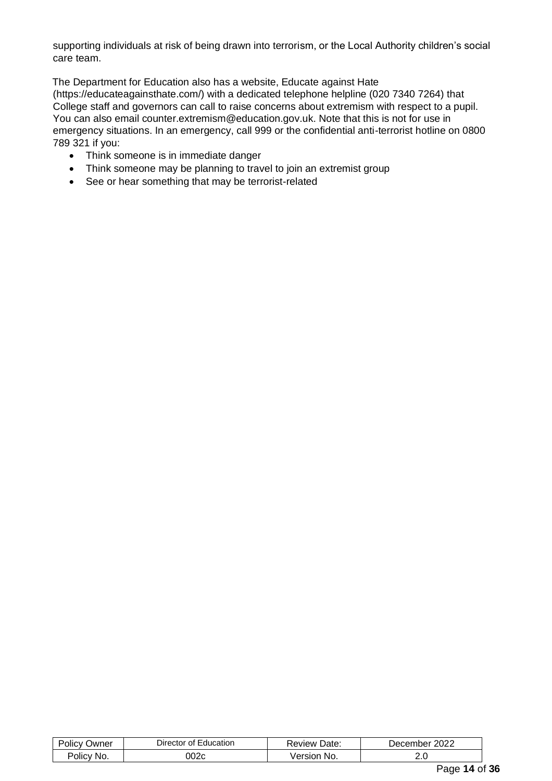supporting individuals at risk of being drawn into terrorism, or the Local Authority children's social care team.

The Department for Education also has a website, Educate against Hate (https://educateagainsthate.com/) with a dedicated telephone helpline (020 7340 7264) that College staff and governors can call to raise concerns about extremism with respect to a pupil. You can also email counter.extremism@education.gov.uk. Note that this is not for use in emergency situations. In an emergency, call 999 or the confidential anti-terrorist hotline on 0800 789 321 if you:

- Think someone is in immediate danger
- Think someone may be planning to travel to join an extremist group
- See or hear something that may be terrorist-related

| $\cdots$<br>שwner<br>Olic' | <b>Director</b><br>Ωt<br>:ducation | Date:<br><b>Review</b> | 2022<br>cember<br>Jec |
|----------------------------|------------------------------------|------------------------|-----------------------|
| No.<br>'olicv              | ∽∩י<br>∪∠ט                         | No.<br>rsion<br>eı     | 2.J                   |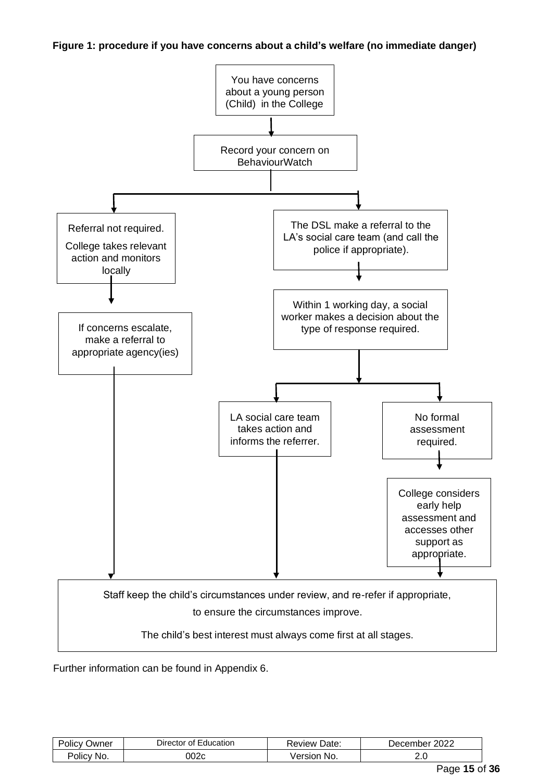**Figure 1: procedure if you have concerns about a child's welfare (no immediate danger)**



Further information can be found in Appendix 6.

| Policy<br>שwner          | ⊃irector<br>Education<br>Οt | Date:<br>Review:                      | ∩∩∩<br>December<br>ZUZZ |
|--------------------------|-----------------------------|---------------------------------------|-------------------------|
| No.<br>olic <sup>y</sup> | 002c                        | No.<br>$\lceil$ is set $\lceil$<br>eı | z.u                     |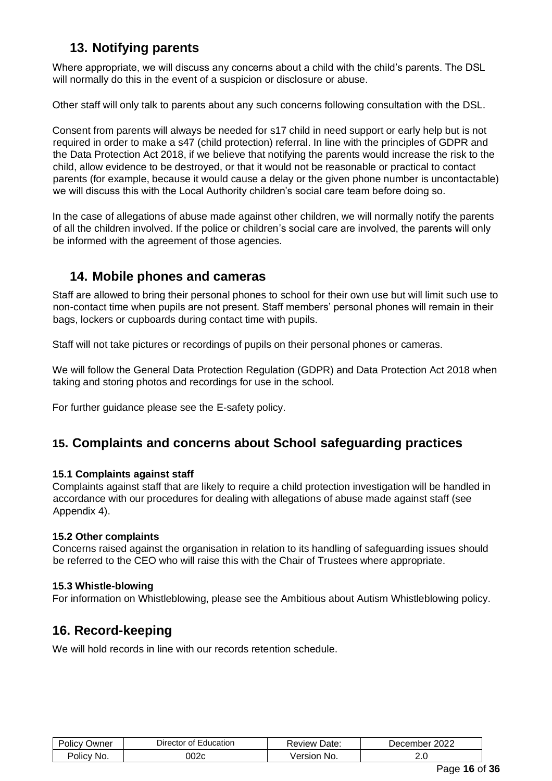# **13. Notifying parents**

Where appropriate, we will discuss any concerns about a child with the child's parents. The DSL will normally do this in the event of a suspicion or disclosure or abuse.

Other staff will only talk to parents about any such concerns following consultation with the DSL.

Consent from parents will always be needed for s17 child in need support or early help but is not required in order to make a s47 (child protection) referral. In line with the principles of GDPR and the Data Protection Act 2018, if we believe that notifying the parents would increase the risk to the child, allow evidence to be destroyed, or that it would not be reasonable or practical to contact parents (for example, because it would cause a delay or the given phone number is uncontactable) we will discuss this with the Local Authority children's social care team before doing so.

In the case of allegations of abuse made against other children, we will normally notify the parents of all the children involved. If the police or children's social care are involved, the parents will only be informed with the agreement of those agencies.

# **14. Mobile phones and cameras**

Staff are allowed to bring their personal phones to school for their own use but will limit such use to non-contact time when pupils are not present. Staff members' personal phones will remain in their bags, lockers or cupboards during contact time with pupils.

Staff will not take pictures or recordings of pupils on their personal phones or cameras.

We will follow the General Data Protection Regulation (GDPR) and Data Protection Act 2018 when taking and storing photos and recordings for use in the school.

For further guidance please see the E-safety policy.

# **15. Complaints and concerns about School safeguarding practices**

# **15.1 Complaints against staff**

Complaints against staff that are likely to require a child protection investigation will be handled in accordance with our procedures for dealing with allegations of abuse made against staff (see Appendix 4).

# **15.2 Other complaints**

Concerns raised against the organisation in relation to its handling of safeguarding issues should be referred to the CEO who will raise this with the Chair of Trustees where appropriate.

# **15.3 Whistle-blowing**

For information on Whistleblowing, please see the Ambitious about Autism Whistleblowing policy.

# **16. Record-keeping**

We will hold records in line with our records retention schedule.

| .<br>Polic\<br>שעΩ | -<br>Director<br>Education<br>ΩŤ | Date:<br>⊀eview | 2022<br>.nber<br>cen<br>Jer |
|--------------------|----------------------------------|-----------------|-----------------------------|
| No.                | 002c                             | ınr             | 2.J                         |
| Olicy              |                                  | No.             | __                          |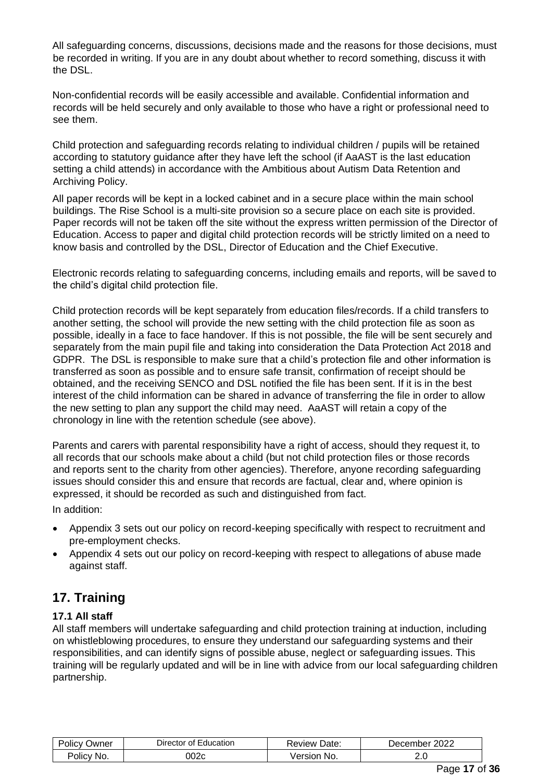All safeguarding concerns, discussions, decisions made and the reasons for those decisions, must be recorded in writing. If you are in any doubt about whether to record something, discuss it with the DSL.

Non-confidential records will be easily accessible and available. Confidential information and records will be held securely and only available to those who have a right or professional need to see them.

Child protection and safeguarding records relating to individual children / pupils will be retained according to statutory guidance after they have left the school (if AaAST is the last education setting a child attends) in accordance with the Ambitious about Autism Data Retention and Archiving Policy.

All paper records will be kept in a locked cabinet and in a secure place within the main school buildings. The Rise School is a multi-site provision so a secure place on each site is provided. Paper records will not be taken off the site without the express written permission of the Director of Education. Access to paper and digital child protection records will be strictly limited on a need to know basis and controlled by the DSL, Director of Education and the Chief Executive.

Electronic records relating to safeguarding concerns, including emails and reports, will be saved to the child's digital child protection file.

Child protection records will be kept separately from education files/records. If a child transfers to another setting, the school will provide the new setting with the child protection file as soon as possible, ideally in a face to face handover. If this is not possible, the file will be sent securely and separately from the main pupil file and taking into consideration the Data Protection Act 2018 and GDPR. The DSL is responsible to make sure that a child's protection file and other information is transferred as soon as possible and to ensure safe transit, confirmation of receipt should be obtained, and the receiving SENCO and DSL notified the file has been sent. If it is in the best interest of the child information can be shared in advance of transferring the file in order to allow the new setting to plan any support the child may need. AaAST will retain a copy of the chronology in line with the retention schedule (see above).

Parents and carers with parental responsibility have a right of access, should they request it, to all records that our schools make about a child (but not child protection files or those records and reports sent to the charity from other agencies). Therefore, anyone recording safeguarding issues should consider this and ensure that records are factual, clear and, where opinion is expressed, it should be recorded as such and distinguished from fact.

In addition:

- Appendix 3 sets out our policy on record-keeping specifically with respect to recruitment and pre-employment checks.
- Appendix 4 sets out our policy on record-keeping with respect to allegations of abuse made against staff.

# **17. Training**

# **17.1 All staff**

All staff members will undertake safeguarding and child protection training at induction, including on whistleblowing procedures, to ensure they understand our safeguarding systems and their responsibilities, and can identify signs of possible abuse, neglect or safeguarding issues. This training will be regularly updated and will be in line with advice from our local safeguarding children partnership.

| Jwner<br>OIIC'       | $D$ irector<br>:ducation<br>Οt | Date:<br>Review | 2022<br>December |
|----------------------|--------------------------------|-----------------|------------------|
| No.<br><b>POIICV</b> | 002c                           | No.<br>version  | ـ .              |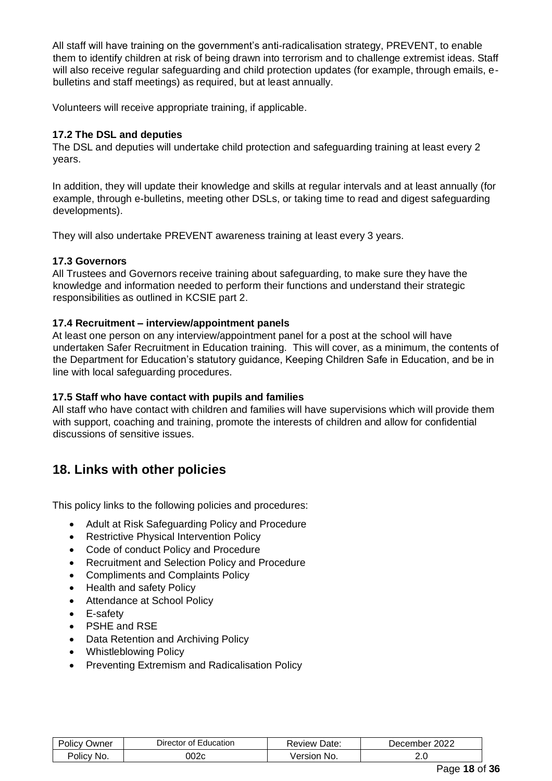All staff will have training on the government's anti-radicalisation strategy, PREVENT, to enable them to identify children at risk of being drawn into terrorism and to challenge extremist ideas. Staff will also receive regular safeguarding and child protection updates (for example, through emails, ebulletins and staff meetings) as required, but at least annually.

Volunteers will receive appropriate training, if applicable.

### **17.2 The DSL and deputies**

The DSL and deputies will undertake child protection and safeguarding training at least every 2 years.

In addition, they will update their knowledge and skills at regular intervals and at least annually (for example, through e-bulletins, meeting other DSLs, or taking time to read and digest safeguarding developments).

They will also undertake PREVENT awareness training at least every 3 years.

### **17.3 Governors**

All Trustees and Governors receive training about safeguarding, to make sure they have the knowledge and information needed to perform their functions and understand their strategic responsibilities as outlined in KCSIE part 2.

### **17.4 Recruitment – interview/appointment panels**

At least one person on any interview/appointment panel for a post at the school will have undertaken Safer Recruitment in Education training. This will cover, as a minimum, the contents of the Department for Education's statutory guidance, Keeping Children Safe in Education, and be in line with local safeguarding procedures.

# **17.5 Staff who have contact with pupils and families**

All staff who have contact with children and families will have supervisions which will provide them with support, coaching and training, promote the interests of children and allow for confidential discussions of sensitive issues.

# **18. Links with other policies**

This policy links to the following policies and procedures:

- Adult at Risk Safeguarding Policy and Procedure
- Restrictive Physical Intervention Policy
- Code of conduct Policy and Procedure
- Recruitment and Selection Policy and Procedure
- Compliments and Complaints Policy
- Health and safety Policy
- Attendance at School Policy
- E-safety
- PSHE and RSE
- Data Retention and Archiving Policy
- Whistleblowing Policy
- Preventing Extremism and Radicalisation Policy

| Jwner<br>онс         | Director of '<br>Education | Review Date:   | 2022<br>Decem <sup>-</sup><br>nbe <sup>r</sup> |
|----------------------|----------------------------|----------------|------------------------------------------------|
| No.<br><b>POLICY</b> | 002c                       | No.<br>/ersion | ے .                                            |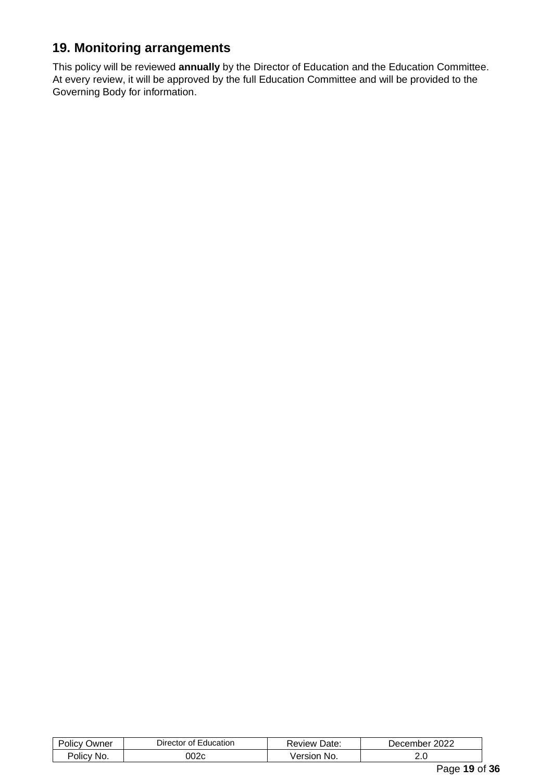# **19. Monitoring arrangements**

This policy will be reviewed **annually** by the Director of Education and the Education Committee. At every review, it will be approved by the full Education Committee and will be provided to the Governing Body for information.

| 002c<br>≧No.<br>No.<br>Version<br>2.J | $P_{\text{Olicy}}$<br>⊃wner | Director of<br>Education | Review Date: | 2022<br>December |
|---------------------------------------|-----------------------------|--------------------------|--------------|------------------|
|                                       | <b>Policy</b>               |                          |              |                  |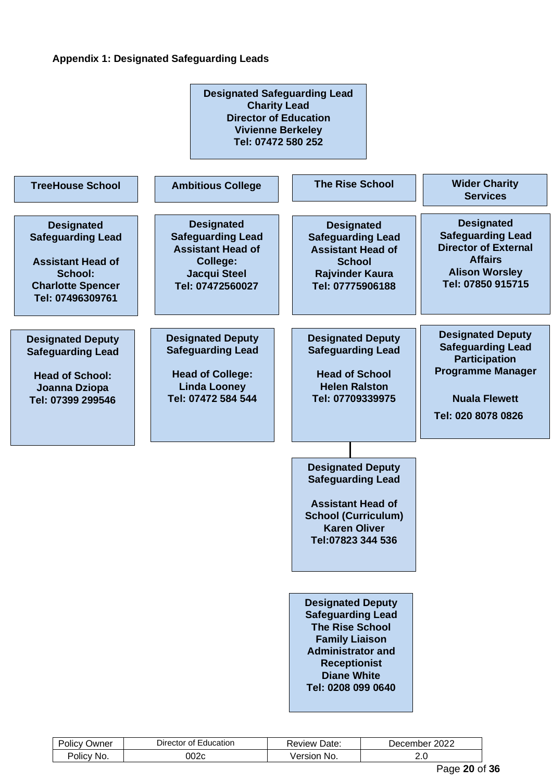### **Appendix 1: Designated Safeguarding Leads**



| Jwner<br>ΟΙΙΟ | $\overline{\phantom{0}}$<br>Education<br>⊃irector<br>Οt | Date:<br><b>Review</b> | റററ<br>December<br>∠∪∠∠ |
|---------------|---------------------------------------------------------|------------------------|-------------------------|
| Policy:       | 002c                                                    | ≅No.                   |                         |
| No            |                                                         | /ersion                | __                      |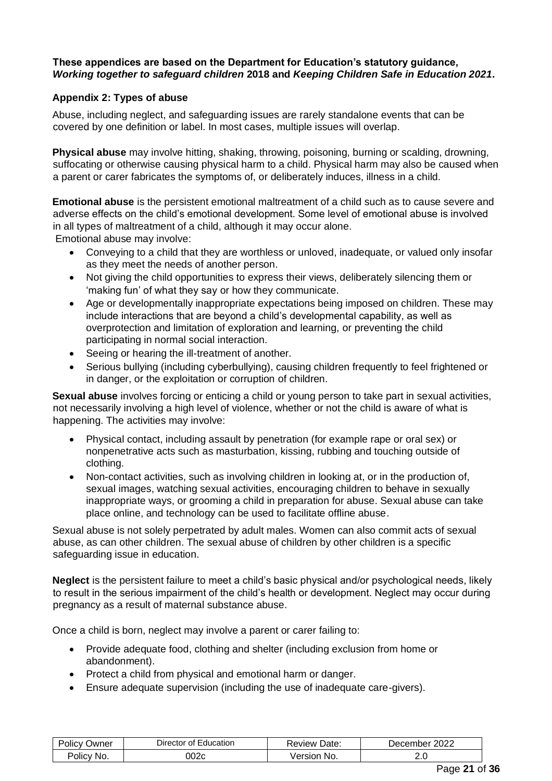### **These appendices are based on the Department for Education's statutory guidance,**  *Working together to safeguard children* **2018 and** *Keeping Children Safe in Education 2021***.**

### **Appendix 2: Types of abuse**

Abuse, including neglect, and safeguarding issues are rarely standalone events that can be covered by one definition or label. In most cases, multiple issues will overlap.

**Physical abuse** may involve hitting, shaking, throwing, poisoning, burning or scalding, drowning, suffocating or otherwise causing physical harm to a child. Physical harm may also be caused when a parent or carer fabricates the symptoms of, or deliberately induces, illness in a child.

**Emotional abuse** is the persistent emotional maltreatment of a child such as to cause severe and adverse effects on the child's emotional development. Some level of emotional abuse is involved in all types of maltreatment of a child, although it may occur alone.

Emotional abuse may involve:

- Conveying to a child that they are worthless or unloved, inadequate, or valued only insofar as they meet the needs of another person.
- Not giving the child opportunities to express their views, deliberately silencing them or 'making fun' of what they say or how they communicate.
- Age or developmentally inappropriate expectations being imposed on children. These may include interactions that are beyond a child's developmental capability, as well as overprotection and limitation of exploration and learning, or preventing the child participating in normal social interaction.
- Seeing or hearing the ill-treatment of another.
- Serious bullying (including cyberbullying), causing children frequently to feel frightened or in danger, or the exploitation or corruption of children.

**Sexual abuse** involves forcing or enticing a child or young person to take part in sexual activities, not necessarily involving a high level of violence, whether or not the child is aware of what is happening. The activities may involve:

- Physical contact, including assault by penetration (for example rape or oral sex) or nonpenetrative acts such as masturbation, kissing, rubbing and touching outside of clothing.
- Non-contact activities, such as involving children in looking at, or in the production of, sexual images, watching sexual activities, encouraging children to behave in sexually inappropriate ways, or grooming a child in preparation for abuse. Sexual abuse can take place online, and technology can be used to facilitate offline abuse.

Sexual abuse is not solely perpetrated by adult males. Women can also commit acts of sexual abuse, as can other children. The sexual abuse of children by other children is a specific safeguarding issue in education.

**Neglect** is the persistent failure to meet a child's basic physical and/or psychological needs, likely to result in the serious impairment of the child's health or development. Neglect may occur during pregnancy as a result of maternal substance abuse.

Once a child is born, neglect may involve a parent or carer failing to:

- Provide adequate food, clothing and shelter (including exclusion from home or abandonment).
- Protect a child from physical and emotional harm or danger.
- Ensure adequate supervision (including the use of inadequate care-givers).

| ⊃wner<br><b>JIICV</b> | Education<br>Jirecto:<br>Ωt | Date:<br>∴eview ∴ | 2022<br>ember.<br>، ۾ ( |
|-----------------------|-----------------------------|-------------------|-------------------------|
| NO.                   | ງ02c                        | /ersion           | ے .                     |
| JIIC'                 |                             | No.               | __                      |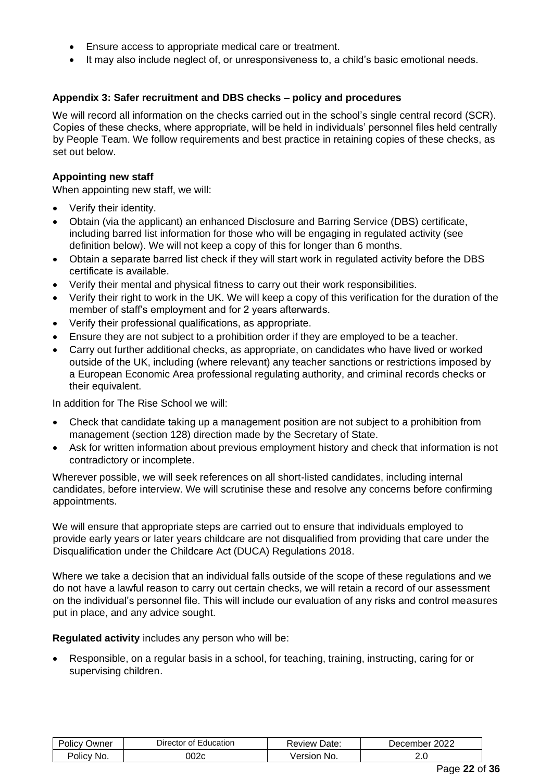- Ensure access to appropriate medical care or treatment.
- It may also include neglect of, or unresponsiveness to, a child's basic emotional needs.

### **Appendix 3: Safer recruitment and DBS checks – policy and procedures**

We will record all information on the checks carried out in the school's single central record (SCR). Copies of these checks, where appropriate, will be held in individuals' personnel files held centrally by People Team. We follow requirements and best practice in retaining copies of these checks, as set out below.

#### **Appointing new staff**

When appointing new staff, we will:

- Verify their identity.
- Obtain (via the applicant) an enhanced Disclosure and Barring Service (DBS) certificate, including barred list information for those who will be engaging in regulated activity (see definition below). We will not keep a copy of this for longer than 6 months.
- Obtain a separate barred list check if they will start work in regulated activity before the DBS certificate is available.
- Verify their mental and physical fitness to carry out their work responsibilities.
- Verify their right to work in the UK. We will keep a copy of this verification for the duration of the member of staff's employment and for 2 years afterwards.
- Verify their professional qualifications, as appropriate.
- Ensure they are not subject to a prohibition order if they are employed to be a teacher.
- Carry out further additional checks, as appropriate, on candidates who have lived or worked outside of the UK, including (where relevant) any teacher sanctions or restrictions imposed by a European Economic Area professional regulating authority, and criminal records checks or their equivalent.

In addition for The Rise School we will:

- Check that candidate taking up a management position are not subject to a prohibition from management (section 128) direction made by the Secretary of State.
- Ask for written information about previous employment history and check that information is not contradictory or incomplete.

Wherever possible, we will seek references on all short-listed candidates, including internal candidates, before interview. We will scrutinise these and resolve any concerns before confirming appointments.

We will ensure that appropriate steps are carried out to ensure that individuals employed to provide early years or later years childcare are not disqualified from providing that care under the Disqualification under the Childcare Act (DUCA) Regulations 2018.

Where we take a decision that an individual falls outside of the scope of these regulations and we do not have a lawful reason to carry out certain checks, we will retain a record of our assessment on the individual's personnel file. This will include our evaluation of any risks and control measures put in place, and any advice sought.

**Regulated activity** includes any person who will be:

• Responsible, on a regular basis in a school, for teaching, training, instructing, caring for or supervising children.

| . .<br>olic\<br>Jwner | Education<br>Director<br>ΩŤ | Date:<br>Review | 2022<br>December |
|-----------------------|-----------------------------|-----------------|------------------|
| No.<br>OIICV          | J02c                        | No.<br>'ersion  | ے .              |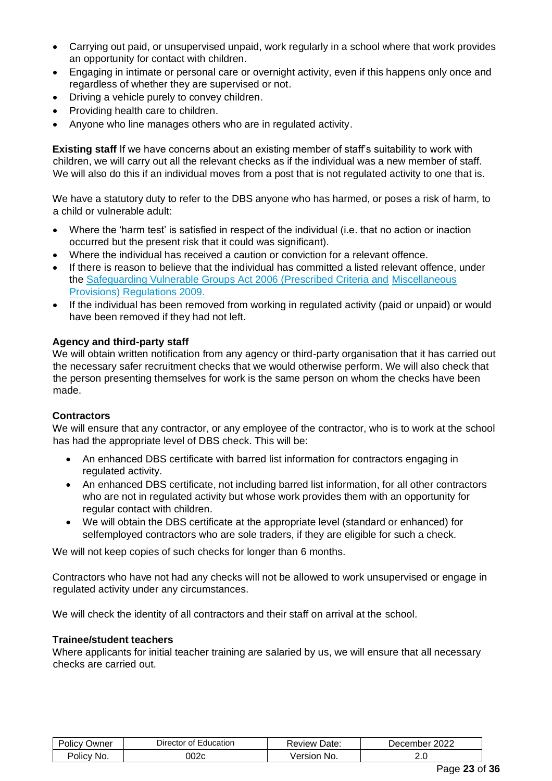- Carrying out paid, or unsupervised unpaid, work regularly in a school where that work provides an opportunity for contact with children.
- Engaging in intimate or personal care or overnight activity, even if this happens only once and regardless of whether they are supervised or not.
- Driving a vehicle purely to convey children.
- Providing health care to children.
- Anyone who line manages others who are in regulated activity.

**Existing staff** If we have concerns about an existing member of staff's suitability to work with children, we will carry out all the relevant checks as if the individual was a new member of staff. We will also do this if an individual moves from a post that is not regulated activity to one that is.

We have a statutory duty to refer to the DBS anyone who has harmed, or poses a risk of harm, to a child or vulnerable adult:

- Where the 'harm test' is satisfied in respect of the individual (i.e. that no action or inaction occurred but the present risk that it could was significant).
- Where the individual has received a caution or conviction for a relevant offence.
- If there is reason to believe that the individual has committed a listed relevant offence, under the [Safeguarding Vulnerable Groups Act 2006 \(Prescribed Criteria and](http://www.legislation.gov.uk/uksi/2009/37/contents/made) [Miscellaneous](http://www.legislation.gov.uk/uksi/2009/37/contents/made)  [Provisions\) Regulations 2009.](http://www.legislation.gov.uk/uksi/2009/37/contents/made)
- If the individual has been removed from working in regulated activity (paid or unpaid) or would have been removed if they had not left.

### **Agency and third-party staff**

We will obtain written notification from any agency or third-party organisation that it has carried out the necessary safer recruitment checks that we would otherwise perform. We will also check that the person presenting themselves for work is the same person on whom the checks have been made.

### **Contractors**

We will ensure that any contractor, or any employee of the contractor, who is to work at the school has had the appropriate level of DBS check. This will be:

- An enhanced DBS certificate with barred list information for contractors engaging in regulated activity.
- An enhanced DBS certificate, not including barred list information, for all other contractors who are not in regulated activity but whose work provides them with an opportunity for regular contact with children.
- We will obtain the DBS certificate at the appropriate level (standard or enhanced) for selfemployed contractors who are sole traders, if they are eligible for such a check.

We will not keep copies of such checks for longer than 6 months.

Contractors who have not had any checks will not be allowed to work unsupervised or engage in regulated activity under any circumstances.

We will check the identity of all contractors and their staff on arrival at the school.

#### **Trainee/student teachers**

Where applicants for initial teacher training are salaried by us, we will ensure that all necessary checks are carried out.

| . .<br>Polic\<br>Jwner | <b>Education</b><br><b>Director</b><br>ΩŤ | Date:<br>⊀eview | ממ∩מ<br>December<br>ZUZZ |
|------------------------|-------------------------------------------|-----------------|--------------------------|
| No.                    | ົາ02ເ                                     | No.             | z.u                      |
| olicy                  |                                           | ersion          | __                       |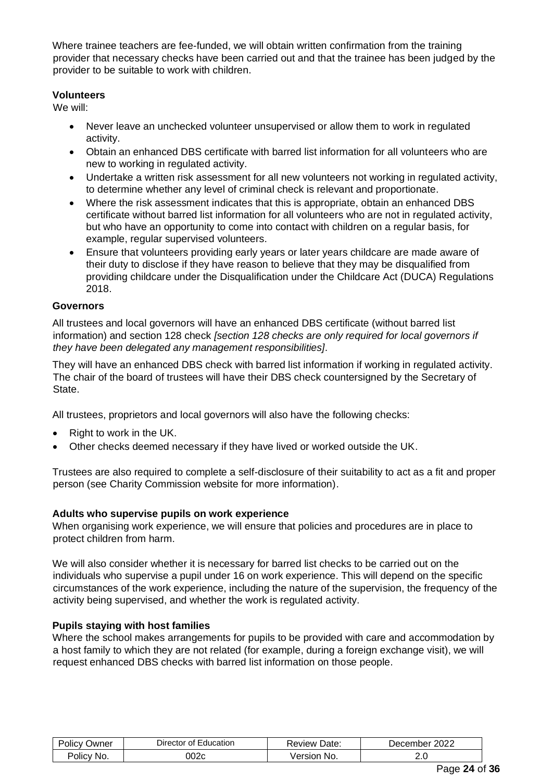Where trainee teachers are fee-funded, we will obtain written confirmation from the training provider that necessary checks have been carried out and that the trainee has been judged by the provider to be suitable to work with children.

### **Volunteers**

We will:

- Never leave an unchecked volunteer unsupervised or allow them to work in regulated activity.
- Obtain an enhanced DBS certificate with barred list information for all volunteers who are new to working in regulated activity.
- Undertake a written risk assessment for all new volunteers not working in regulated activity, to determine whether any level of criminal check is relevant and proportionate.
- Where the risk assessment indicates that this is appropriate, obtain an enhanced DBS certificate without barred list information for all volunteers who are not in regulated activity, but who have an opportunity to come into contact with children on a regular basis, for example, regular supervised volunteers.
- Ensure that volunteers providing early years or later years childcare are made aware of their duty to disclose if they have reason to believe that they may be disqualified from providing childcare under the Disqualification under the Childcare Act (DUCA) Regulations 2018.

### **Governors**

All trustees and local governors will have an enhanced DBS certificate (without barred list information) and section 128 check *[section 128 checks are only required for local governors if they have been delegated any management responsibilities]*.

They will have an enhanced DBS check with barred list information if working in regulated activity. The chair of the board of trustees will have their DBS check countersigned by the Secretary of State.

All trustees, proprietors and local governors will also have the following checks:

- Right to work in the UK.
- Other checks deemed necessary if they have lived or worked outside the UK.

Trustees are also required to complete a self-disclosure of their suitability to act as a fit and proper person (see Charity Commission website for more information).

### **Adults who supervise pupils on work experience**

When organising work experience, we will ensure that policies and procedures are in place to protect children from harm.

We will also consider whether it is necessary for barred list checks to be carried out on the individuals who supervise a pupil under 16 on work experience. This will depend on the specific circumstances of the work experience, including the nature of the supervision, the frequency of the activity being supervised, and whether the work is regulated activity.

### **Pupils staying with host families**

Where the school makes arrangements for pupils to be provided with care and accommodation by a host family to which they are not related (for example, during a foreign exchange visit), we will request enhanced DBS checks with barred list information on those people.

| .<br>Polic\<br>Jwner | <del>∖</del> ducation<br><b>Director</b><br>ΩŤ | Date:<br>⊀eview | ∩∩∩<br>Jecember<br>ZUZZ |
|----------------------|------------------------------------------------|-----------------|-------------------------|
| No.                  | ົາ02ເ                                          | No.             | 2.J                     |
| <b>OIICV</b>         |                                                | ersion          | __                      |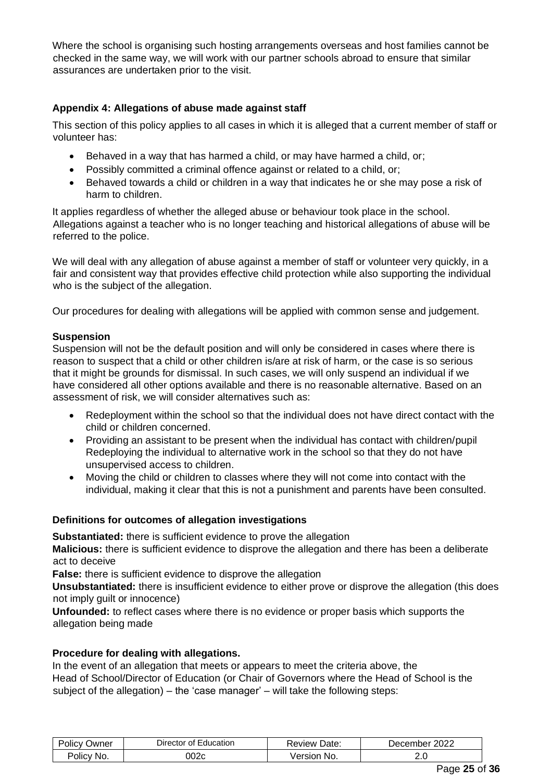Where the school is organising such hosting arrangements overseas and host families cannot be checked in the same way, we will work with our partner schools abroad to ensure that similar assurances are undertaken prior to the visit.

### **Appendix 4: Allegations of abuse made against staff**

This section of this policy applies to all cases in which it is alleged that a current member of staff or volunteer has:

- Behaved in a way that has harmed a child, or may have harmed a child, or;
- Possibly committed a criminal offence against or related to a child, or;
- Behaved towards a child or children in a way that indicates he or she may pose a risk of harm to children.

It applies regardless of whether the alleged abuse or behaviour took place in the school. Allegations against a teacher who is no longer teaching and historical allegations of abuse will be referred to the police.

We will deal with any allegation of abuse against a member of staff or volunteer very quickly, in a fair and consistent way that provides effective child protection while also supporting the individual who is the subject of the allegation.

Our procedures for dealing with allegations will be applied with common sense and judgement.

### **Suspension**

Suspension will not be the default position and will only be considered in cases where there is reason to suspect that a child or other children is/are at risk of harm, or the case is so serious that it might be grounds for dismissal. In such cases, we will only suspend an individual if we have considered all other options available and there is no reasonable alternative. Based on an assessment of risk, we will consider alternatives such as:

- Redeployment within the school so that the individual does not have direct contact with the child or children concerned.
- Providing an assistant to be present when the individual has contact with children/pupil Redeploying the individual to alternative work in the school so that they do not have unsupervised access to children.
- Moving the child or children to classes where they will not come into contact with the individual, making it clear that this is not a punishment and parents have been consulted.

### **Definitions for outcomes of allegation investigations**

**Substantiated:** there is sufficient evidence to prove the allegation

**Malicious:** there is sufficient evidence to disprove the allegation and there has been a deliberate act to deceive

**False:** there is sufficient evidence to disprove the allegation

**Unsubstantiated:** there is insufficient evidence to either prove or disprove the allegation (this does not imply guilt or innocence)

**Unfounded:** to reflect cases where there is no evidence or proper basis which supports the allegation being made

### **Procedure for dealing with allegations.**

In the event of an allegation that meets or appears to meet the criteria above, the Head of School/Director of Education (or Chair of Governors where the Head of School is the subject of the allegation) – the 'case manager' – will take the following steps:

| Jwner<br>Olic\<br>$\mathbf{v}$ | Education<br>Director<br>Ωt<br>- | Date:<br>Review | 2022<br>∠ember<br>)er |
|--------------------------------|----------------------------------|-----------------|-----------------------|
| Polic'                         | `^^                              | <i>Jersion</i>  | <u>. . u</u>          |
| NO.                            |                                  | NO.             | __                    |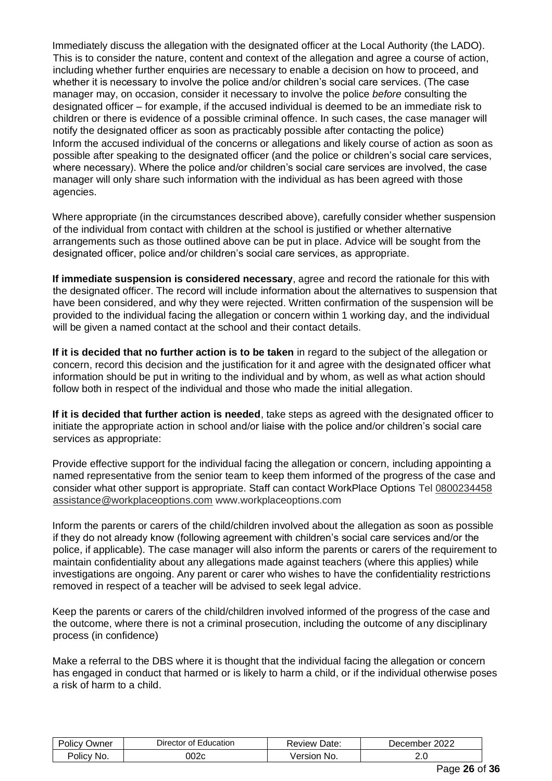Immediately discuss the allegation with the designated officer at the Local Authority (the LADO). This is to consider the nature, content and context of the allegation and agree a course of action, including whether further enquiries are necessary to enable a decision on how to proceed, and whether it is necessary to involve the police and/or children's social care services. (The case manager may, on occasion, consider it necessary to involve the police *before* consulting the designated officer – for example, if the accused individual is deemed to be an immediate risk to children or there is evidence of a possible criminal offence. In such cases, the case manager will notify the designated officer as soon as practicably possible after contacting the police) Inform the accused individual of the concerns or allegations and likely course of action as soon as possible after speaking to the designated officer (and the police or children's social care services, where necessary). Where the police and/or children's social care services are involved, the case manager will only share such information with the individual as has been agreed with those agencies.

Where appropriate (in the circumstances described above), carefully consider whether suspension of the individual from contact with children at the school is justified or whether alternative arrangements such as those outlined above can be put in place. Advice will be sought from the designated officer, police and/or children's social care services, as appropriate.

**If immediate suspension is considered necessary**, agree and record the rationale for this with the designated officer. The record will include information about the alternatives to suspension that have been considered, and why they were rejected. Written confirmation of the suspension will be provided to the individual facing the allegation or concern within 1 working day, and the individual will be given a named contact at the school and their contact details.

**If it is decided that no further action is to be taken** in regard to the subject of the allegation or concern, record this decision and the justification for it and agree with the designated officer what information should be put in writing to the individual and by whom, as well as what action should follow both in respect of the individual and those who made the initial allegation.

**If it is decided that further action is needed**, take steps as agreed with the designated officer to initiate the appropriate action in school and/or liaise with the police and/or children's social care services as appropriate:

Provide effective support for the individual facing the allegation or concern, including appointing a named representative from the senior team to keep them informed of the progress of the case and consider what other support is appropriate. Staff can contact WorkPlace Options Tel 0800234458 assistance@workplaceoptions.com www.workplaceoptions.com

Inform the parents or carers of the child/children involved about the allegation as soon as possible if they do not already know (following agreement with children's social care services and/or the police, if applicable). The case manager will also inform the parents or carers of the requirement to maintain confidentiality about any allegations made against teachers (where this applies) while investigations are ongoing. Any parent or carer who wishes to have the confidentiality restrictions removed in respect of a teacher will be advised to seek legal advice.

Keep the parents or carers of the child/children involved informed of the progress of the case and the outcome, where there is not a criminal prosecution, including the outcome of any disciplinary process (in confidence)

Make a referral to the DBS where it is thought that the individual facing the allegation or concern has engaged in conduct that harmed or is likely to harm a child, or if the individual otherwise poses a risk of harm to a child.

| $\cdots$<br>'Olic\<br>Owner | -<br>Education<br>Director<br>0t | Date:<br>∴eview∖ | 2022<br>Jecember |
|-----------------------------|----------------------------------|------------------|------------------|
| No.                         | 002c                             | No.              | ے ت              |
| 'Olic\                      |                                  | ersion           | __               |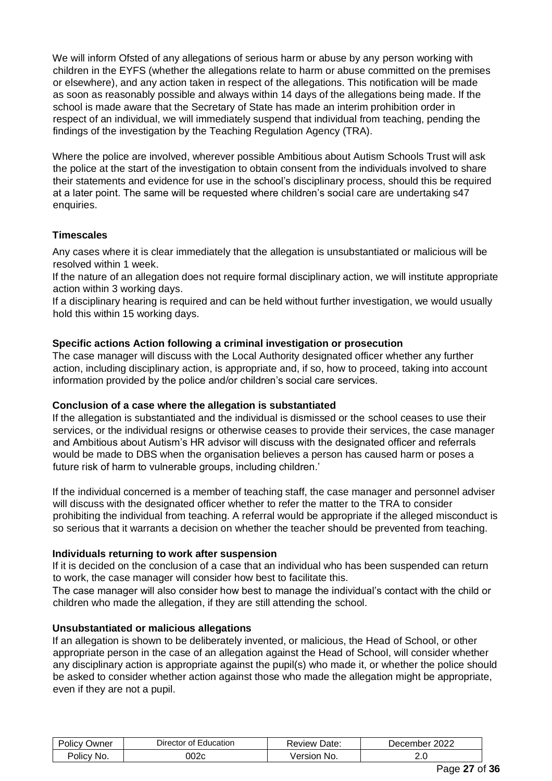We will inform Ofsted of any allegations of serious harm or abuse by any person working with children in the EYFS (whether the allegations relate to harm or abuse committed on the premises or elsewhere), and any action taken in respect of the allegations. This notification will be made as soon as reasonably possible and always within 14 days of the allegations being made. If the school is made aware that the Secretary of State has made an interim prohibition order in respect of an individual, we will immediately suspend that individual from teaching, pending the findings of the investigation by the Teaching Regulation Agency (TRA).

Where the police are involved, wherever possible Ambitious about Autism Schools Trust will ask the police at the start of the investigation to obtain consent from the individuals involved to share their statements and evidence for use in the school's disciplinary process, should this be required at a later point. The same will be requested where children's social care are undertaking s47 enquiries.

# **Timescales**

Any cases where it is clear immediately that the allegation is unsubstantiated or malicious will be resolved within 1 week.

If the nature of an allegation does not require formal disciplinary action, we will institute appropriate action within 3 working days.

If a disciplinary hearing is required and can be held without further investigation, we would usually hold this within 15 working days.

# **Specific actions Action following a criminal investigation or prosecution**

The case manager will discuss with the Local Authority designated officer whether any further action, including disciplinary action, is appropriate and, if so, how to proceed, taking into account information provided by the police and/or children's social care services.

# **Conclusion of a case where the allegation is substantiated**

If the allegation is substantiated and the individual is dismissed or the school ceases to use their services, or the individual resigns or otherwise ceases to provide their services, the case manager and Ambitious about Autism's HR advisor will discuss with the designated officer and referrals would be made to DBS when the organisation believes a person has caused harm or poses a future risk of harm to vulnerable groups, including children.'

If the individual concerned is a member of teaching staff, the case manager and personnel adviser will discuss with the designated officer whether to refer the matter to the TRA to consider prohibiting the individual from teaching. A referral would be appropriate if the alleged misconduct is so serious that it warrants a decision on whether the teacher should be prevented from teaching.

# **Individuals returning to work after suspension**

If it is decided on the conclusion of a case that an individual who has been suspended can return to work, the case manager will consider how best to facilitate this.

The case manager will also consider how best to manage the individual's contact with the child or children who made the allegation, if they are still attending the school.

# **Unsubstantiated or malicious allegations**

If an allegation is shown to be deliberately invented, or malicious, the Head of School, or other appropriate person in the case of an allegation against the Head of School, will consider whether any disciplinary action is appropriate against the pupil(s) who made it, or whether the police should be asked to consider whether action against those who made the allegation might be appropriate, even if they are not a pupil.

| $\cdots$<br>'olicy<br>Owner | -<br>Education<br>⊃irector of ' | Date:<br>keview i | 2022<br>December |
|-----------------------------|---------------------------------|-------------------|------------------|
| No.<br>'Olic\               | J02c                            | No.<br>ersion     | 2.J              |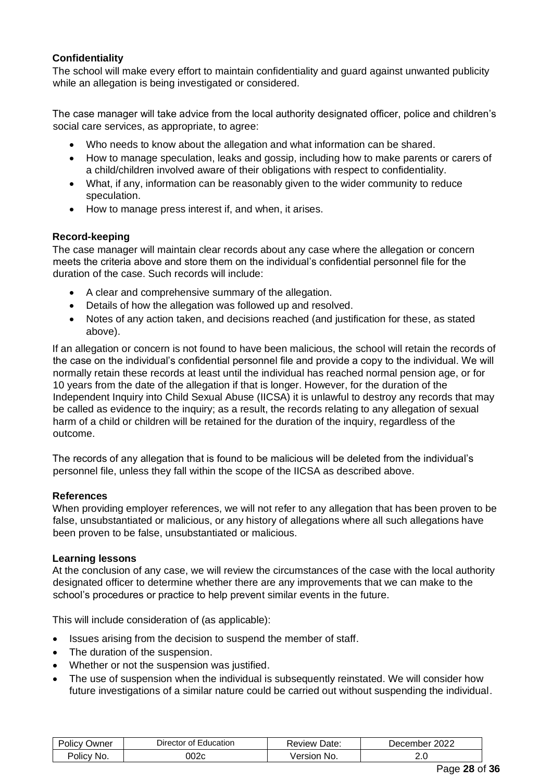# **Confidentiality**

The school will make every effort to maintain confidentiality and guard against unwanted publicity while an allegation is being investigated or considered.

The case manager will take advice from the local authority designated officer, police and children's social care services, as appropriate, to agree:

- Who needs to know about the allegation and what information can be shared.
- How to manage speculation, leaks and gossip, including how to make parents or carers of a child/children involved aware of their obligations with respect to confidentiality.
- What, if any, information can be reasonably given to the wider community to reduce speculation.
- How to manage press interest if, and when, it arises.

### **Record-keeping**

The case manager will maintain clear records about any case where the allegation or concern meets the criteria above and store them on the individual's confidential personnel file for the duration of the case. Such records will include:

- A clear and comprehensive summary of the allegation.
- Details of how the allegation was followed up and resolved.
- Notes of any action taken, and decisions reached (and justification for these, as stated above).

If an allegation or concern is not found to have been malicious, the school will retain the records of the case on the individual's confidential personnel file and provide a copy to the individual. We will normally retain these records at least until the individual has reached normal pension age, or for 10 years from the date of the allegation if that is longer. However, for the duration of the Independent Inquiry into Child Sexual Abuse (IICSA) it is unlawful to destroy any records that may be called as evidence to the inquiry; as a result, the records relating to any allegation of sexual harm of a child or children will be retained for the duration of the inquiry, regardless of the outcome.

The records of any allegation that is found to be malicious will be deleted from the individual's personnel file, unless they fall within the scope of the IICSA as described above.

#### **References**

When providing employer references, we will not refer to any allegation that has been proven to be false, unsubstantiated or malicious, or any history of allegations where all such allegations have been proven to be false, unsubstantiated or malicious.

#### **Learning lessons**

At the conclusion of any case, we will review the circumstances of the case with the local authority designated officer to determine whether there are any improvements that we can make to the school's procedures or practice to help prevent similar events in the future.

This will include consideration of (as applicable):

- Issues arising from the decision to suspend the member of staff.
- The duration of the suspension.
- Whether or not the suspension was justified.
- The use of suspension when the individual is subsequently reinstated. We will consider how future investigations of a similar nature could be carried out without suspending the individual.

| . .<br>Policy<br>⊃wner | Education<br><i>D</i> irector<br>ot. | Date:<br><b>Review</b> | 2022<br>Jecember |
|------------------------|--------------------------------------|------------------------|------------------|
| 'olicy                 | 002c                                 | Version                | <u>.</u>         |
| No.                    |                                      | No.                    | __               |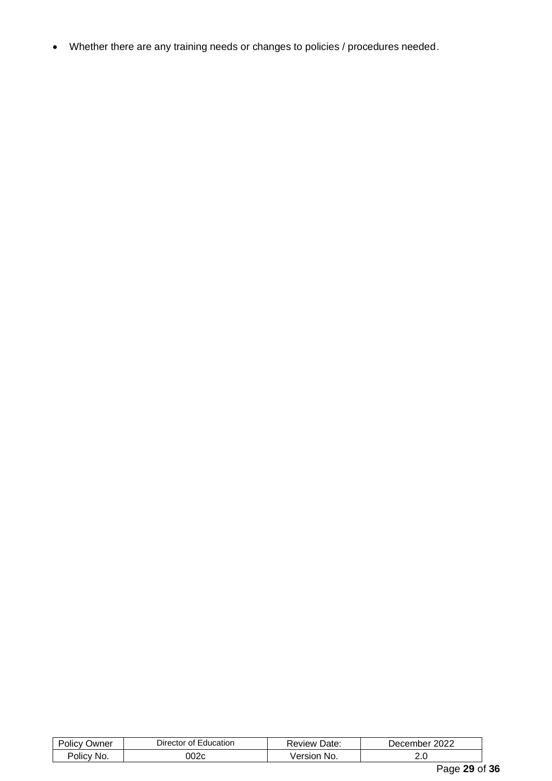• Whether there are any training needs or changes to policies / procedures needed.

| שwner<br>olicy'      | $D$ irector<br>Education<br>ot l | Date.<br><b>Review</b> | 2022<br>Jecember                 |       |
|----------------------|----------------------------------|------------------------|----------------------------------|-------|
| <b>POIICV</b><br>No. | 002c                             | No.<br>ersion.<br>vers | 2.U                              |       |
|                      |                                  |                        | $\overline{\phantom{0}}$<br>$ -$ | - - - |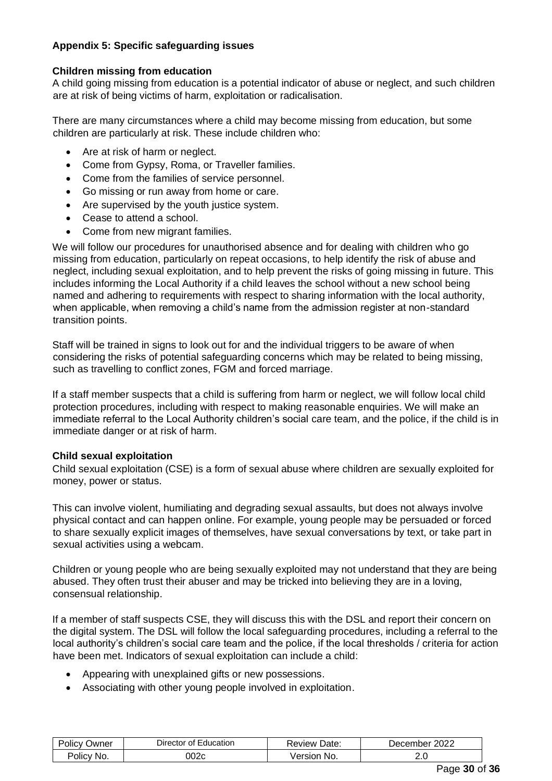# **Appendix 5: Specific safeguarding issues**

### **Children missing from education**

A child going missing from education is a potential indicator of abuse or neglect, and such children are at risk of being victims of harm, exploitation or radicalisation.

There are many circumstances where a child may become missing from education, but some children are particularly at risk. These include children who:

- Are at risk of harm or neglect.
- Come from Gypsy, Roma, or Traveller families.
- Come from the families of service personnel.
- Go missing or run away from home or care.
- Are supervised by the youth justice system.
- Cease to attend a school.
- Come from new migrant families.

We will follow our procedures for unauthorised absence and for dealing with children who go missing from education, particularly on repeat occasions, to help identify the risk of abuse and neglect, including sexual exploitation, and to help prevent the risks of going missing in future. This includes informing the Local Authority if a child leaves the school without a new school being named and adhering to requirements with respect to sharing information with the local authority, when applicable, when removing a child's name from the admission register at non-standard transition points.

Staff will be trained in signs to look out for and the individual triggers to be aware of when considering the risks of potential safeguarding concerns which may be related to being missing, such as travelling to conflict zones, FGM and forced marriage.

If a staff member suspects that a child is suffering from harm or neglect, we will follow local child protection procedures, including with respect to making reasonable enquiries. We will make an immediate referral to the Local Authority children's social care team, and the police, if the child is in immediate danger or at risk of harm.

### **Child sexual exploitation**

Child sexual exploitation (CSE) is a form of sexual abuse where children are sexually exploited for money, power or status.

This can involve violent, humiliating and degrading sexual assaults, but does not always involve physical contact and can happen online. For example, young people may be persuaded or forced to share sexually explicit images of themselves, have sexual conversations by text, or take part in sexual activities using a webcam.

Children or young people who are being sexually exploited may not understand that they are being abused. They often trust their abuser and may be tricked into believing they are in a loving, consensual relationship.

If a member of staff suspects CSE, they will discuss this with the DSL and report their concern on the digital system. The DSL will follow the local safeguarding procedures, including a referral to the local authority's children's social care team and the police, if the local thresholds / criteria for action have been met. Indicators of sexual exploitation can include a child:

- Appearing with unexplained gifts or new possessions.
- Associating with other young people involved in exploitation.

| ⊃wner<br>olicv | Education<br><b>Director</b><br>ΩŤ | ⊺Date.<br>' eview. | 2022<br>cember:<br>⊃er |
|----------------|------------------------------------|--------------------|------------------------|
| NO.            | 002c                               | No.                | <u>. . v</u>           |
| OIIC'          |                                    | ersion             | __                     |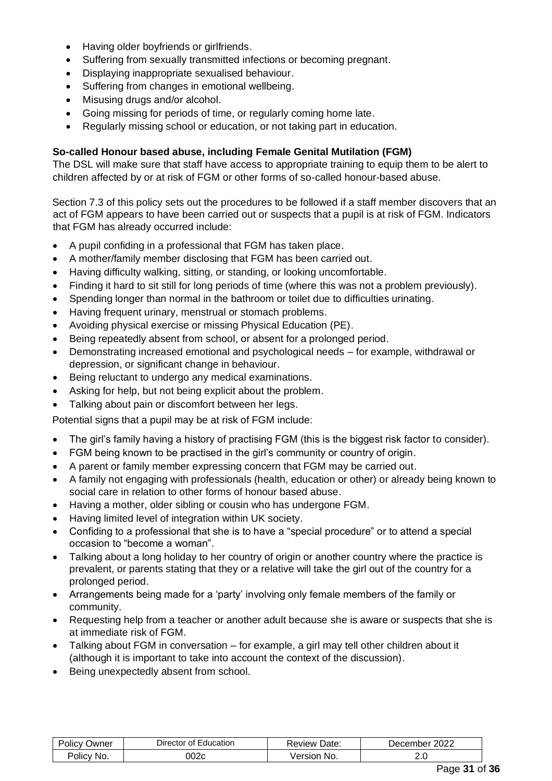- Having older boyfriends or girlfriends.
- Suffering from sexually transmitted infections or becoming pregnant.
- Displaying inappropriate sexualised behaviour.
- Suffering from changes in emotional wellbeing.
- Misusing drugs and/or alcohol.
- Going missing for periods of time, or regularly coming home late.
- Regularly missing school or education, or not taking part in education.

### **So-called Honour based abuse, including Female Genital Mutilation (FGM)**

The DSL will make sure that staff have access to appropriate training to equip them to be alert to children affected by or at risk of FGM or other forms of so-called honour-based abuse.

Section 7.3 of this policy sets out the procedures to be followed if a staff member discovers that an act of FGM appears to have been carried out or suspects that a pupil is at risk of FGM. Indicators that FGM has already occurred include:

- A pupil confiding in a professional that FGM has taken place.
- A mother/family member disclosing that FGM has been carried out.
- Having difficulty walking, sitting, or standing, or looking uncomfortable.
- Finding it hard to sit still for long periods of time (where this was not a problem previously).
- Spending longer than normal in the bathroom or toilet due to difficulties urinating.
- Having frequent urinary, menstrual or stomach problems.
- Avoiding physical exercise or missing Physical Education (PE).
- Being repeatedly absent from school, or absent for a prolonged period.
- Demonstrating increased emotional and psychological needs for example, withdrawal or depression, or significant change in behaviour.
- Being reluctant to undergo any medical examinations.
- Asking for help, but not being explicit about the problem.
- Talking about pain or discomfort between her legs.

Potential signs that a pupil may be at risk of FGM include:

- The girl's family having a history of practising FGM (this is the biggest risk factor to consider).
- FGM being known to be practised in the girl's community or country of origin.
- A parent or family member expressing concern that FGM may be carried out.
- A family not engaging with professionals (health, education or other) or already being known to social care in relation to other forms of honour based abuse.
- Having a mother, older sibling or cousin who has undergone FGM.
- Having limited level of integration within UK society.
- Confiding to a professional that she is to have a "special procedure" or to attend a special occasion to "become a woman".
- Talking about a long holiday to her country of origin or another country where the practice is prevalent, or parents stating that they or a relative will take the girl out of the country for a prolonged period.
- Arrangements being made for a 'party' involving only female members of the family or community.
- Requesting help from a teacher or another adult because she is aware or suspects that she is at immediate risk of FGM.
- Talking about FGM in conversation for example, a girl may tell other children about it (although it is important to take into account the context of the discussion).
- Being unexpectedly absent from school.

| . .<br>-<br>⊃wner<br>ାାଠ' | $\overline{\phantom{0}}$<br>Education<br>⊃irector<br>l of l | Date:<br><b>AVIAW</b> | 2022<br>Jecember |
|---------------------------|-------------------------------------------------------------|-----------------------|------------------|
| No.<br>olicy              | 002c                                                        | No.<br>ersion         | ے .              |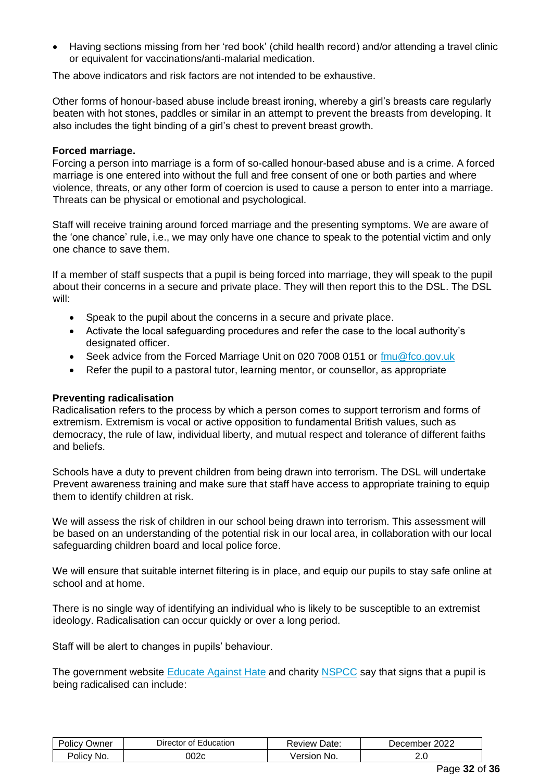• Having sections missing from her 'red book' (child health record) and/or attending a travel clinic or equivalent for vaccinations/anti-malarial medication.

The above indicators and risk factors are not intended to be exhaustive.

Other forms of honour-based abuse include breast ironing, whereby a girl's breasts care regularly beaten with hot stones, paddles or similar in an attempt to prevent the breasts from developing. It also includes the tight binding of a girl's chest to prevent breast growth.

#### **Forced marriage.**

Forcing a person into marriage is a form of so-called honour-based abuse and is a crime. A forced marriage is one entered into without the full and free consent of one or both parties and where violence, threats, or any other form of coercion is used to cause a person to enter into a marriage. Threats can be physical or emotional and psychological.

Staff will receive training around forced marriage and the presenting symptoms. We are aware of the 'one chance' rule, i.e., we may only have one chance to speak to the potential victim and only one chance to save them.

If a member of staff suspects that a pupil is being forced into marriage, they will speak to the pupil about their concerns in a secure and private place. They will then report this to the DSL. The DSL will:

- Speak to the pupil about the concerns in a secure and private place.
- Activate the local safeguarding procedures and refer the case to the local authority's designated officer.
- Seek advice from the Forced Marriage Unit on 020 7008 0151 or  $\frac{\text{fmu@fco.gov.uk}}{\text{fmu@fco.gov.uk}}$
- Refer the pupil to a pastoral tutor, learning mentor, or counsellor, as appropriate

### **Preventing radicalisation**

Radicalisation refers to the process by which a person comes to support terrorism and forms of extremism. Extremism is vocal or active opposition to fundamental British values, such as democracy, the rule of law, individual liberty, and mutual respect and tolerance of different faiths and beliefs.

Schools have a duty to prevent children from being drawn into terrorism. The DSL will undertake Prevent awareness training and make sure that staff have access to appropriate training to equip them to identify children at risk.

We will assess the risk of children in our school being drawn into terrorism. This assessment will be based on an understanding of the potential risk in our local area, in collaboration with our local safeguarding children board and local police force.

We will ensure that suitable internet filtering is in place, and equip our pupils to stay safe online at school and at home.

There is no single way of identifying an individual who is likely to be susceptible to an extremist ideology. Radicalisation can occur quickly or over a long period.

Staff will be alert to changes in pupils' behaviour.

The government website [Educate Against](http://educateagainsthate.com/parents/what-are-the-warning-signs/) [Hate](http://educateagainsthate.com/parents/what-are-the-warning-signs/) and charity [NSPCC](https://www.nspcc.org.uk/what-you-can-do/report-abuse/dedicated-helplines/protecting-children-from-radicalisation/) say that signs that a pupil is being radicalised can include:

| Jwner<br><b>OIICV</b> | Education<br>⊃ırector<br>nt. | Date:<br>Review | 2022<br>December |
|-----------------------|------------------------------|-----------------|------------------|
| Policy                | 002c                         | /ersior         | ے . ب            |
| No.                   |                              | No.             |                  |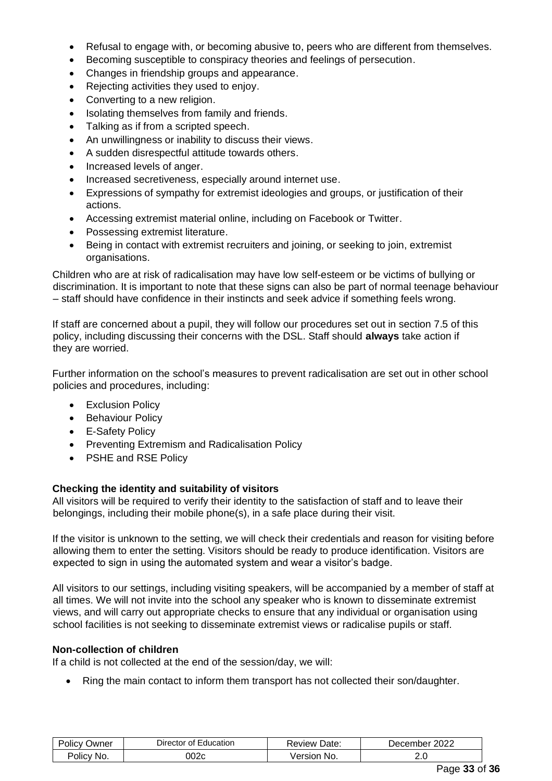- Refusal to engage with, or becoming abusive to, peers who are different from themselves.
- Becoming susceptible to conspiracy theories and feelings of persecution.
- Changes in friendship groups and appearance.
- Rejecting activities they used to enjoy.
- Converting to a new religion.
- Isolating themselves from family and friends.
- Talking as if from a scripted speech.
- An unwillingness or inability to discuss their views.
- A sudden disrespectful attitude towards others.
- Increased levels of anger.
- Increased secretiveness, especially around internet use.
- Expressions of sympathy for extremist ideologies and groups, or justification of their actions.
- Accessing extremist material online, including on Facebook or Twitter.
- Possessing extremist literature.
- Being in contact with extremist recruiters and joining, or seeking to join, extremist organisations.

Children who are at risk of radicalisation may have low self-esteem or be victims of bullying or discrimination. It is important to note that these signs can also be part of normal teenage behaviour – staff should have confidence in their instincts and seek advice if something feels wrong.

If staff are concerned about a pupil, they will follow our procedures set out in section 7.5 of this policy, including discussing their concerns with the DSL. Staff should **always** take action if they are worried.

Further information on the school's measures to prevent radicalisation are set out in other school policies and procedures, including:

- Exclusion Policy
- Behaviour Policy
- E-Safety Policy
- Preventing Extremism and Radicalisation Policy
- PSHE and RSE Policy

### **Checking the identity and suitability of visitors**

All visitors will be required to verify their identity to the satisfaction of staff and to leave their belongings, including their mobile phone(s), in a safe place during their visit.

If the visitor is unknown to the setting, we will check their credentials and reason for visiting before allowing them to enter the setting. Visitors should be ready to produce identification. Visitors are expected to sign in using the automated system and wear a visitor's badge.

All visitors to our settings, including visiting speakers, will be accompanied by a member of staff at all times. We will not invite into the school any speaker who is known to disseminate extremist views, and will carry out appropriate checks to ensure that any individual or organisation using school facilities is not seeking to disseminate extremist views or radicalise pupils or staff.

### **Non-collection of children**

If a child is not collected at the end of the session/day, we will:

• Ring the main contact to inform them transport has not collected their son/daughter.

| ⊃wner<br>. olic. | Director<br>Education<br>nt. | ≺eview Date:   | 2022<br>Jecember |
|------------------|------------------------------|----------------|------------------|
| No.<br>'OliC\    | 002c                         | No.<br>ersion. | ے ۔              |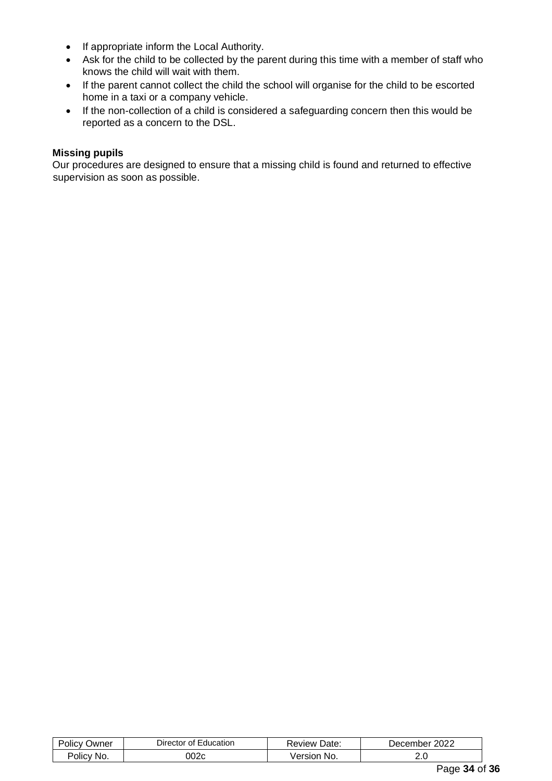- If appropriate inform the Local Authority.
- Ask for the child to be collected by the parent during this time with a member of staff who knows the child will wait with them.
- If the parent cannot collect the child the school will organise for the child to be escorted home in a taxi or a company vehicle.
- If the non-collection of a child is considered a safeguarding concern then this would be reported as a concern to the DSL.

### **Missing pupils**

Our procedures are designed to ensure that a missing child is found and returned to effective supervision as soon as possible.

| . .<br>שwner<br>זונז׳<br>$\mathbf{v}$ | Jirector<br>Ωt<br>ducation | Date.<br>keview '⊼       | 2022<br>cember<br>Jer |
|---------------------------------------|----------------------------|--------------------------|-----------------------|
| No.<br>olicy                          | המ∩י<br>. IUZC             | No.<br>sıc<br>וונ<br>/er | ے.                    |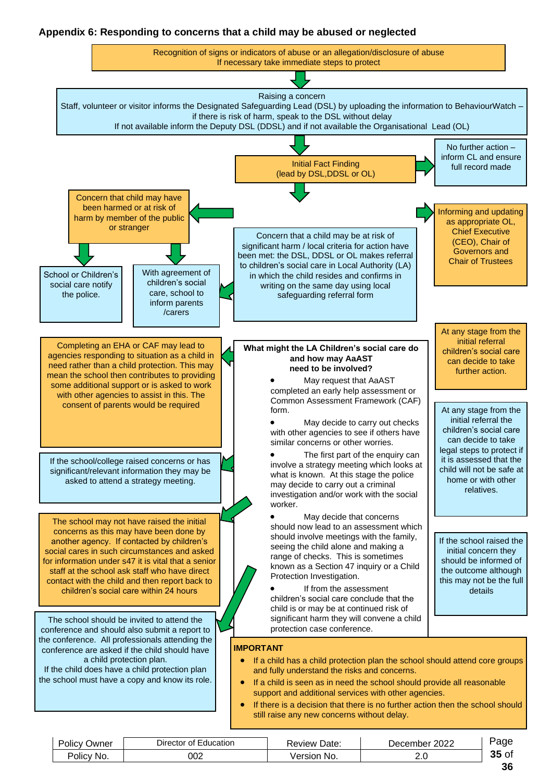# **Appendix 6: Responding to concerns that a child may be abused or neglected**



| Policy<br>שwner | Education<br>Director of | Date:<br>Review | 2022<br>December | aue        |
|-----------------|--------------------------|-----------------|------------------|------------|
| Policy No.      | 002                      | √ersior<br>No.  | 2.J              | ∍of<br>JJ. |
|                 |                          |                 |                  | $\sim$     |